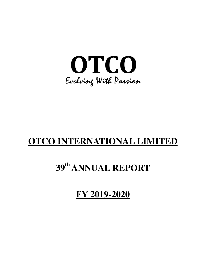

# **39 ANNUAL REPORT th**

**FY 2019-2020**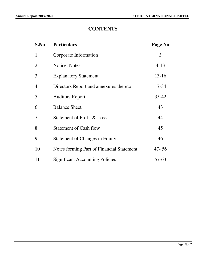## **CONTENTS**

| S.No           | <b>Particulars</b>                        | Page No   |
|----------------|-------------------------------------------|-----------|
| 1              | Corporate Information                     | 3         |
| 2              | Notice, Notes                             | $4 - 13$  |
| 3              | <b>Explanatory Statement</b>              | $13 - 16$ |
| $\overline{4}$ | Directors Report and annexures thereto    | 17-34     |
| 5              | <b>Auditors Report</b>                    | $35 - 42$ |
| 6              | <b>Balance Sheet</b>                      | 43        |
| 7              | <b>Statement of Profit &amp; Loss</b>     | 44        |
| 8              | <b>Statement of Cash flow</b>             | 45        |
| 9              | <b>Statement of Changes in Equity</b>     | 46        |
| 10             | Notes forming Part of Financial Statement | $47 - 56$ |
| 11             | <b>Significant Accounting Policies</b>    | 57-63     |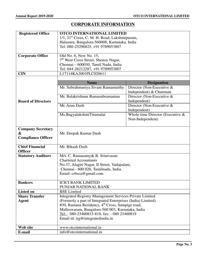## **CORPORATE INFORMATION**

| <b>Registered Office</b>  | <b>OTCO INTERNATIONAL LIMITED</b>                              |                                  |  |  |  |  |  |  |
|---------------------------|----------------------------------------------------------------|----------------------------------|--|--|--|--|--|--|
|                           | $1/1$ , $21st$ Cross, C. M. H. Road, Lakshmipuram,             |                                  |  |  |  |  |  |  |
|                           | Halasuru, Bangalore-560008, Karnataka, India                   |                                  |  |  |  |  |  |  |
|                           | Tel: 080-25296825, +91 9789053807                              |                                  |  |  |  |  |  |  |
|                           |                                                                |                                  |  |  |  |  |  |  |
| <b>Corporate Office</b>   | Old No. 6, New No. 15,                                         |                                  |  |  |  |  |  |  |
|                           | 7 <sup>th</sup> West Cross Street, Shenoy Nagar,               |                                  |  |  |  |  |  |  |
|                           | Chennai - 600030, Tamil Nadu, India                            |                                  |  |  |  |  |  |  |
|                           | Tel: 044-26212287, +91 9789053807                              |                                  |  |  |  |  |  |  |
| <b>CIN</b>                | L17114KA2001PLC028611                                          |                                  |  |  |  |  |  |  |
|                           |                                                                |                                  |  |  |  |  |  |  |
|                           | <b>Name</b>                                                    | <b>Designation</b>               |  |  |  |  |  |  |
|                           | Mr. Subrahmaniya Sivam Ramamurthy                              | Director (Non-Executive &        |  |  |  |  |  |  |
|                           |                                                                | Independent) & Chairman          |  |  |  |  |  |  |
|                           | Mr. Balakrishnan Ramasubramanian                               | Director (Non-Executive &        |  |  |  |  |  |  |
| <b>Board of Directors</b> |                                                                | Independent)                     |  |  |  |  |  |  |
|                           | Mr. Arun Dash                                                  | Director (Non-Executive &        |  |  |  |  |  |  |
|                           |                                                                | Independent)                     |  |  |  |  |  |  |
|                           | Ms.BagyalakshmiTirumalai                                       | Whole time Director (Executive & |  |  |  |  |  |  |
|                           |                                                                | Non-Independent)                 |  |  |  |  |  |  |
|                           |                                                                |                                  |  |  |  |  |  |  |
| <b>Company Secretary</b>  |                                                                |                                  |  |  |  |  |  |  |
| &                         | Mr. Deepak Kumar Dash                                          |                                  |  |  |  |  |  |  |
| <b>Compliance Officer</b> |                                                                |                                  |  |  |  |  |  |  |
|                           |                                                                |                                  |  |  |  |  |  |  |
| <b>Chief Financial</b>    | Mr. Bikash Dash                                                |                                  |  |  |  |  |  |  |
| <b>Officer</b>            |                                                                |                                  |  |  |  |  |  |  |
| <b>Statutory Auditors</b> | M/s. C. Ramasamy& B. Srinivasan                                |                                  |  |  |  |  |  |  |
|                           | <b>Chartered Accountants</b>                                   |                                  |  |  |  |  |  |  |
|                           | No.37, Alagiri Nagar, II Street, Vadapalani,                   |                                  |  |  |  |  |  |  |
|                           | Chennai - 600 026, Tamilnadu, India.                           |                                  |  |  |  |  |  |  |
|                           | Email: crbsca@gmail.com                                        |                                  |  |  |  |  |  |  |
|                           |                                                                |                                  |  |  |  |  |  |  |
| <b>Bankers</b>            | <b>ICICI BANK LIMITED</b>                                      |                                  |  |  |  |  |  |  |
|                           | PUNJAB NATIONAL BANK                                           |                                  |  |  |  |  |  |  |
| <b>Listed</b> on          | <b>BSE</b> Limited                                             |                                  |  |  |  |  |  |  |
| <b>Share Transfer</b>     | <b>Integrated Registry Management Services Private Limited</b> |                                  |  |  |  |  |  |  |
| Agent                     | (Formerly a part of Integrated Enterprises (India) Limited)    |                                  |  |  |  |  |  |  |
|                           | #30, Ramana Residency, 4 <sup>th</sup> Cross, Sampige road,    |                                  |  |  |  |  |  |  |
|                           | Malleswaram, Bangalore-560 003, Karnataka, India               |                                  |  |  |  |  |  |  |
|                           | Tel:- 080-23460815-818, fax: - 080 23460819                    |                                  |  |  |  |  |  |  |
|                           | Email id: irg@integratedindia.in                               |                                  |  |  |  |  |  |  |
|                           |                                                                |                                  |  |  |  |  |  |  |
| Web site                  | www.otcointernational.in                                       |                                  |  |  |  |  |  |  |
| E-mail                    | info@otcointernational.in                                      |                                  |  |  |  |  |  |  |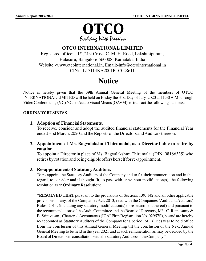

Registered office: - 1/1,21st Cross, C. M. H. Road, Lakshmipuram, Halasuru, Bangalore-560008, Karnataka, India Website:-www.otcointernational.in, Email:-info@otcointernational.in CIN: - L17114KA2001PLC028611

## **Notice**

Notice is hereby given that the 39th Annual General Meeting of the members of OTCO INTERNATIONAL LIMITED will be held on Friday the 31st Day of July, 2020 at 11.30 A.M. through Video Conferencing (VC) / Other Audio Visual Means (OAVM), to transact the following business:

#### **ORDINARY BUSINESS**

#### **1. Adoption of Financial Statements.**

To receive, consider and adopt the audited financial statements for the Financial Year ended 31st March, 2020 and the Reports of the Directors and Auditors thereon.

### **2. Appointment of Ms. Bagyalakshmi Thirumalai, as a Director liable to retire by rotation.**

To appoint a Director in place of Ms. Bagyalakshmi Thirumalai (DIN: 08186335) who retires by rotation and being eligible offers herself for re-appointment.

#### **3. Re-appointment of Statutory Auditors.**

To re-appoint the Statutory Auditors of the Company and to fix their remuneration and in this regard, to consider and if thought fit, to pass with or without modification(s), the following resolution as an **Ordinary Resolution**:

**"RESOLVED THAT** pursuant to the provisions of Sections 139, 142 and all other applicable provisions, if any, of the Companies Act, 2013, read with the Companies (Audit and Auditors) Rules, 2014, (including any statutory modification(s) or re-enactment thereof) and pursuant to the recommendations of the Audit Committee and the Board of Directors,  $M/s$ . C. Ramasamy  $\&$ B. Srinivasan., Chartered Accountants (ICAI Firm Registration No. 02957S), be and are hereby re-appointed as Statutory Auditors of the Company for a period of 1 (One) year to hold office from the conclusion of this Annual General Meeting till the conclusion of the Next Annual General Meeting to be held in the year 2021 and at such remuneration as may be decided by the Board of Directors in consultation with the statutory Auditors of the Company."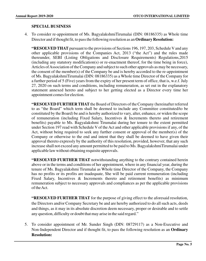#### **SPECIAL BUSINESS**

4. To consider re-appointment of Ms. BagyalakshmiTirumalai (DIN: 08186335) as Whole time Director and if thought fit, to pass the following resolution as an **Ordinary Resolution:**

**"RESOLVED THAT** pursuant to the provisions of Sections 196, 197, 203, Schedule V and any other applicable provisions of the Companies Act, 2013 ("the Act") and the rules made thereunder, SEBI (Listing Obligations and Disclosure Requirements) Regulations,2015 (including any statutory modification(s) or re-enactment thereof, for the time being in force), Articles of Association of the Company and subject to such other approvals as may be necessary, the consent of the member(s) of the Company be and is hereby accorded to the re-appointment of Ms. BagyalakshmiTirumalai (DIN: 08186335) as a Whole time Director of the Company for a further period of 5 (Five) years from the expiry of her present term of office, that is, w.e.f. July 27, 2020 on such terms and conditions, including remuneration, as set out in the explanatory statement annexed hereto and subject to her getting elected as a Director every time her appointment comes for election.

**"RESOLVED FURTHER THAT** the Board of Directors of the Company (hereinafter referred to as "the Board" which term shall be deemed to include any Committee constituted/to be constituted by the Board) be and is hereby authorized to vary, alter, enhance, or widen the scope of remuneration (including Fixed Salary, Incentives & Increments thereto and retirement benefits) payable to Ms. Bagyalakshmi Tirumalai during her tenure to the extent permitted under Section 197 read with Schedule V of the Act and other applicable provisions if any, of the Act, without being required to seek any further consent or approval of the member(s) of the Company or otherwise to the end and intent that they shall be deemed to have given their approval thereto expressly by the authority of this resolution, provided, however, that any such increase shall not exceed any amount permitted to be paid to Ms. BagyalakshmiTirumalai under applicable law without obtaining requisite approvals.

**"RESOLVED FURTHER THAT** notwithstanding anything to the contrary contained herein above or in the terms and conditions of her appointment, where in any financial year, during the tenure of Ms. Bagyalakshmi Tirumalai as Whole time Director of the Company, the Company has no profits or its profits are inadequate, She will be paid current remuneration (including Fixed Salary, Incentives & Increments thereto and retirement benefits) as minimum remuneration subject to necessary approvals and compliances as per the applicable provisions of the Act.

**"RESOLVED FURTHER THAT** for the purpose of giving effect to the aforesaid resolution, the Directors and/or Company Secretary be and are hereby authorized to do all such acts, deeds and things, as it may in its absolute discretion deem necessary, proper or desirable and to settle any question, difficulty or doubt that may arise in the said regard."

5. To consider appointment of Mr. Sunder Singh (DIN: 08729117) as a Non-Executive and Non-Independent Director and if thought fit, to pass the following resolution as an **Ordinary Resolution:**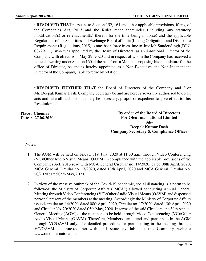**"RESOLVED THAT** pursuant to Section 152, 161 and other applicable provisions, if any, of the Companies Act, 2013 and the Rules made thereunder (including any statutory modification(s) or re-enactment(s) thereof for the time being in force) and the applicable Regulations of the Securities and Exchange Board of India (Listing Obligations and Disclosure Requirements) Regulations, 2015, as may be in force from time to time Mr. Sunder Singh (DIN: 08729117), who was appointed by the Board of Directors, as an Additional Director of the Company with effect from May 29, 2020 and in respect of whom the Company has received a notice in writing under Section 160 of the Act, from a Member proposing his candidature for the office of Director, be and is hereby appointed as a Non-Executive and Non-Independent Director of the Company, liable to retire by rotation.

**"RESOLVED FURTHER THAT** the Board of Directors of the Company and / or Mr. Deepak Kumar Dash, Company Secretary be and are hereby severally authorised to do all acts and take all such steps as may be necessary, proper or expedient to give effect to this Resolution."

**Place : Chennai Date : 27.06.2020**

**By order of the Board of Directors For Otco International Limited Sd/- Deepak Kumar Dash Company Secretary & Compliance Officer**

Notes:

- 1. The AGM will be held on Friday, 31st July, 2020 at 11:30 a.m. through Video Conferencing (VC)/Other Audio Visual Means (OAVM) in compliance with the applicable provisions of the Companies Act, 2013 read with MCA General Circular no. 14/2020, dated 08th April, 2020, MCA General Circular no. 17/2020, dated 13th April, 2020 and MCA General Circular No. 20/2020 dated 05th May, 2020.
- 2. In view of the massive outbreak of the Covid-19 pandemic, social distancing is a norm to be followed; the Ministry of Corporate Affairs ("MCA") allowed conducting Annual General Meeting through Video Conferencing (VC)/Other Audio Visual Means (OAVM) and dispensed personal present of the members at the meeting. Accordingly the Ministry of Corporate Affairs issued circular no. 14/2020, dated 08th April, 2020, Circular no. 17/2020, dated 13th April, 2020 and Circular No. 20/2020 dated 05th May, 2020. In terms of the said Circulars, the 39th Annual General Meeting (AGM) of the members to be held through Video Conferencing (VC)/Other Audio Visual Means (OAVM). Therefore, Members can attend and participate in the AGM through VC/OAVM only. The detailed procedure for participating in the meeting through VC/OAVM is annexed herewith and same available at the Company website www.otcointernatonal.in.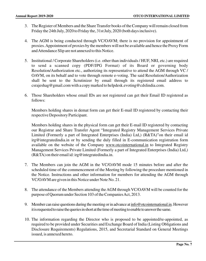- 3. The Register of Members and the Share Transfer books of the Company will remain closed from Friday the 24th July, 2020 to Friday the, 31st July, 2020 (both days inclusive).
- 4. The AGM is being conducted through VC/OAVM; there is no provision for appointment of proxies. Appointment of proxies by the members will not be available and hence the Proxy Form and Attendance Slip are not annexed to this Notice.
- 5. Institutional / Corporate Shareholders (i.e. other than individuals / HUF, NRI, etc.) are required to send a scanned copy (PDF/JPG Format) of its Board or governing body Resolution/Authorization etc., authorizing its representative to attend the AGM through VC / OAVM, on its behalf and to vote through remote e-voting. The said Resolution/Authorization shall be sent to the Scrutinizer by email through its registered email address to csrajeshag@gmail.com with a copy marked to helpdesk.evoting@cdslindia.com.
- 6. Those Shareholders whose email IDs are not registered can get their Email ID registered as follows:

Members holding shares in demat form can get their E-mail ID registered by contacting their respective Depository Participant.

Members holding shares in the physical form can get their E-mail ID registered by contacting our Registrar and Share Transfer Agent "Integrated Registry Management Services Private Limited (Formerly a part of Integrated Enterprises (India) Ltd,) (R&TA)"on their email id irg@integratedindia.in or by sending the duly filled in E-communication registration form available on the website of the Company www.otcointernational.in to Integrated Registry Management Services Private Limited (Formerly a part of Integrated Enterprises (India) Ltd,) (R&TA) on their email id: irg@integratedindia.in.

- 7. The Members can join the AGM in the VC/OAVM mode 15 minutes before and after the scheduled time of the commencement of the Meeting by following the procedure mentioned in the Notice. Instructions and other information for members for attending the AGM through VC/OAVM are given in this Notice under Note No. 21.
- 8. The attendance of the Members attending the AGM through VC/OAVM will be counted for the purpose of Quorum under Section 103 of the Companies Act, 2013.
- 9. Member can raise questions during the meeting or in advance at info@otcointernational.in. However it is requested to raise the queries in short at the time of meeting to enable to answer the same.
- 10. The information regarding the Director who is proposed to be appointed/re-appointed, as required to be provided under Securities and Exchange Board of India (Listing Obligations and Disclosure Requirements) Regulations, 2015, and Secretarial Standard on General Meetings issued, is annexed hereto.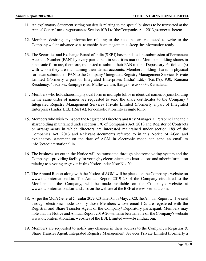- 11. An explanatory Statement setting out details relating to the special business to be transacted at the Annual General meeting pursuant to Section 102(1) of the Companies Act, 2013, is annexed hereto.
- 12. Members desiring any information relating to the accounts are requested to write to the Company well in advance so as to enable the management to keep the information ready.
- 13. The Securities and Exchange Board of India (SEBI) has mandated the submission of Permanent Account Number (PAN) by every participant in securities market. Members holding shares in electronic form are, therefore, requested to submit their PAN to their Depository Participant(s) with whom they are maintaining their demat accounts. Members holding shares in physical form can submit their PAN to the Company / Integrated Registry Management Services Private Limited (Formerly a part of Integrated Enterprises (India) Ltd,) (R&TA), #30, Ramana Residency, 4th Cross, Sampige road, Malleswaram, Bangalore-560003, Karnataka.
- 14. Members who hold shares in physical form in multiple folios in identical names or joint holding in the same order of names are requested to send the share certificates to the Company / Integrated Registry Management Services Private Limited (Formerly a part of Integrated Enterprises (India) Ltd,) (R&TA), for consolidation into a single folio.
- 15. Members who wish to inspect the Register of Directors and Key Managerial Personnel and their shareholding maintained under section 170 of Companies Act, 2013 and Register of Contracts or arrangements in which directors are interested maintained under section 189 of the Companies Act, 2013 and Relevant documents referred to in this Notice of AGM and explanatory statement on the date of AGM in electronic mode can send an email to info@otcointernational.in.
- 16. The business set out in the Notice will be transacted through electronic voting system and the Company is providing facility for voting by electronic means Instructions and other information relating to e-voting are given in this Notice under Note No. 20.
- 17. The Annual Report along with the Notice of AGM will be placed on the Company's website on www.otcointernational.in. The Annual Report 2019-20 of the Company circulated to the Members of the Company, will be made available on the Company's website at www.otcointernational.in and also on the website of the BSE at www.bseindia.com.
- 18. As per the MCA General Circular 20/2020 dated 05th May, 2020, the Annual Report will be sent through electronic mode to only those Members whose email IDs are registered with the Registrar and Share Transfer Agent of the Company/ Depository participant. Members may note that the Notice and Annual Report 2019-20 will also be available on the Company's website www.otcointernational.in, websites of the BSE Limited www.bseindia.com.
- 19. Members are requested to notify any changes in their address to the Company's Registrar  $\&$ Share Transfer Agent, Integrated Registry Management Services Private Limited (Formerly a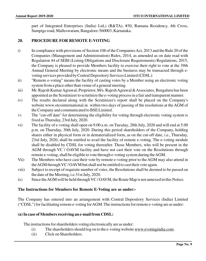part of Integrated Enterprises (India) Ltd,) (R&TA), #30, Ramana Residency, 4th Cross, Sampige road, Malleswaram, Bangalore-560003, Karnataka.

#### **20. PROCEDURE FOR REMOTE E-VOTING**

- i) In compliance with provisions of Section 108 of the Companies Act, 2013 and the Rule 20 of the Companies (Management and Administration) Rules, 2014, as amended as on date read with Regulation 44 of SEBI (Listing Obligations and Disclosure Requirements) Regulations, 2015, the Company is pleased to provide Members facility to exercise their right to vote at the 39th Annual General Meeting by electronic means and the business may be transacted through evoting services provided by Central Depository Services Limited (CDSL):
- ii) "Remote e-voting" means the facility of casting votes by a Member using an electronic voting system from a place other than venue of a general meeting.
- iii) Mr. Rajesh Kumar Agrawal, Proprietor, M/s. Rajesh Agrawal & Associates, Bengaluru has been appointed as the Scrutinizer to scrutinize the e-voting process in a fair and transparent manner.
- iv) The results declared along with the Scrutinizer's report shall be placed on the Company's website www.otcointernational.in within two days of passing of the resolutions at the AGM of the Company and communicated to BSE Limited.
- v) The "cut-off date" for determining the eligibility for voting through electronic voting system is fixed as Thursday, 23rd July, 2020.
- vi) The facility of e-voting shall open on 9.00 a.m. on Tuesday, 28th July, 2020 and will end at 5.00 p.m. on Thursday, 30th July, 2020. During this period shareholders of the Company, holding shares either in physical form or in dematerialized form, as on the cut-off date, i.e., Thursday, 23rd July, 2020, shall be entitled to avail the facility of remote e-voting. The e-voting module shall be disabled by CDSL for voting thereafter. Those Members, who will be present in the AGM through VC / OAVM facility and have not cast their vote on the Resolutions through remote e-voting, shall be eligible to vote through e-voting system during the AGM.
- Vii) The Members who have cast their vote by remote e-voting prior to the AGM may also attend in the AGM through VC / OAVM but shall not be entitled to cast their vote again.
- viii) Subject to receipt of requisite number of votes, the Resolutions shall be deemed to be passed on the date of the Meeting, i.e.31st July, 2020.
- ix) Since the AGM will be held through VC / OAVM, the Route Map is not annexed in this Notice.

#### **The Instructions for Members for Remote E-Voting are as under:-**

The Company has entered into an arrangement with Central Depository Services (India) Limited ("CDSL") for facilitating remote e-voting for AGM. The instructions for remote e-voting are as under:

#### **(a) In case of Members receiving an e-mail from CDSL:**

The instructions for shareholders voting electronically are as under:

- (i) The shareholders should log on to the e-voting website www.evotingindia.com.
- (ii) Click on Shareholders.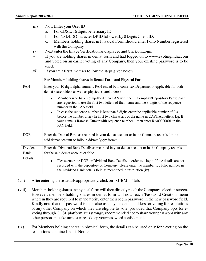- (iii) Now Enter your User ID
	- a. For CDSL: 16 digits beneficiary ID,
	- b. For NSDL: 8 Character DP ID followed by 8 Digits Client ID,
	- c. Members holding shares in Physical Form should enter Folio Number registered with the Company.
- (iv) Next enter the Image Verification as displayed and Click on Login.
- (v) If you are holding shares in demat form and had logged on to www.evotingindia.com and voted on an earlier voting of any Company, then your existing password is to be used.
- (vi) If you are a first time user follow the steps given below:

|            | For Members holding shares in Demat Form and Physical Form                                                                                                                                                                                                                                                                                                                                                                                                                                |  |  |  |  |  |  |
|------------|-------------------------------------------------------------------------------------------------------------------------------------------------------------------------------------------------------------------------------------------------------------------------------------------------------------------------------------------------------------------------------------------------------------------------------------------------------------------------------------------|--|--|--|--|--|--|
| <b>PAN</b> | Enter your 10 digit alpha-numeric PAN issued by Income Tax Department (Applicable for both<br>demat shareholders as well as physical shareholders)                                                                                                                                                                                                                                                                                                                                        |  |  |  |  |  |  |
|            | Members who have not updated their PAN with the Company/Depository Participant<br>are requested to use the first two letters of their name and the 8 digits of the sequence<br>number in the PAN field.<br>In case the sequence number is less than 8 digits enter the applicable number of 0's<br>before the number after the first two characters of the name in CAPITAL letters. Eg. If<br>your name is Ramesh Kumar with sequence number 1 then enter RA00000001 in the<br>PAN field. |  |  |  |  |  |  |
| <b>DOB</b> | Enter the Date of Birth as recorded in your demat account or in the Company records for the<br>said demat account or folio in dd/mm/yyyy format.                                                                                                                                                                                                                                                                                                                                          |  |  |  |  |  |  |
| Dividend   | Enter the Dividend Bank Details as recorded in your demat account or in the Company records                                                                                                                                                                                                                                                                                                                                                                                               |  |  |  |  |  |  |
| Bank       | for the said demat account or folio.                                                                                                                                                                                                                                                                                                                                                                                                                                                      |  |  |  |  |  |  |
| Details    | Please enter the DOB or Dividend Bank Details in order to login. If the details are not<br>recorded with the depository or Company, please enter the member id / folio number in<br>the Dividend Bank details field as mentioned in instruction (iv).                                                                                                                                                                                                                                     |  |  |  |  |  |  |

- (vii) After entering these details appropriately, click on "SUBMIT" tab.
- (viii) Members holding shares in physical form will then directly reach the Company selection screen. However, members holding shares in demat form will now reach 'Password Creation' menu wherein they are required to mandatorily enter their login password in the new password field. Kindly note that this password is to be also used by the demat holders for voting for resolutions of any other Company on which they are eligible to vote, provided that Company opts for evoting through CDSL platform. It is strongly recommended not to share your password with any other person and take utmost care to keep your password confidential.
- (ix) For Members holding shares in physical form, the details can be used only for e-voting on the resolutions contained in this Notice.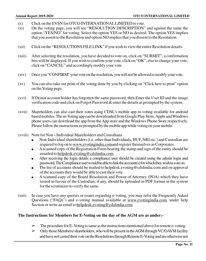- (x) Click on the EVSN for OTCO INTERNATIONAL LIMITED to vote.
- (xi) On the voting page, you will see "RESOLUTION DESCRIPTION" and against the same the option "YES/NO" for voting. Select the option YES or NO as desired. The option YES implies that you assent to the Resolution and option NO implies that you dissent to the Resolution.
- (xii) Click on the "RESOLUTIONS FILE LINK" if you wish to view the entire Resolution details.
- (xiii) After selecting the resolution, you have decided to vote on, click on "SUBMIT", a confirmation box will be displayed. If you wish to confirm your vote, click on "OK", else to change your vote, click on "CANCEL" and accordingly modify your vote.
- (xiv) Once you "CONFIRM" your vote on the resolution, you will not be allowed to modify your vote.
- (xv) You can also take out print of the voting done by you by clicking on "Click here to print" option on the Voting page.
- (xvi) If Demat account holder has forgotten the same password, then Enter the User ID and the image verification code and click on Forgot Password & enter the details as prompted by the system.
- (xvii) Shareholders can also cast their votes using CDSL's mobile app m-voting available for android based mobiles. The m-Voting app can be downloaded from Google Play Store. Apple and Windows phone users can download the app from the App store and the Windows Phone Store respectively. Please follow the instructions as prompted by the mobile app while voting on your mobile.
- (xviii) Note for Non Individual Shareholders and Custodians
	- Non-Individual shareholders (i.e. other than Individuals, HUF, NRI etc.) and Custodian are required to log on to www.evotingindia.comand register themselves as Corporates.
	- required to log on to www.evotingindia.comand register themselves as Corporates.<br>A scanned copy of the Registration Form bearing the stamp and sign of the entity should be
	- **e** After receiving the login details a compliance user should be created using the admin login and After receiving the login details a compliance user should be created using the admin login and password. The Compliance user would be able to link the account(s) for which they wish to vote on.<br>The list of accounts should be mailed to helpdesk evoting @cdslindia.com and on approva
	- The list of accounts should be mailed to helpdesk.evoting@cdslindia.com and on approval
	- of the accounts they would be able to cast their vote.<br>
	A scanned copy of the Board Resolution and Power of Attorney (POA) which they have issued in favour of the Custodian, if any, should be uploaded in PDF format in the system for the scrutinizer to verify the same.
- (xiii) In case you have any queries or issues regarding e-voting, you may refer the Frequently Asked Questions ("FAQs") and e-voting manual available at www.evotingindia.com, under help Section or write an email to helpdesk.evoting@cdslindia.com.

#### **The Instructions for Members for E-Voting on the day of the AGM are as under:-**

- $\geq$  The procedure for E-Voting is same as the instructions mentioned above for remote e-voting.
- > Only those Members/ shareholders, who will be present in the AGM through VC/OAVM facility and have not casted their vote on the Resolutions through Remote E-Voting and are otherwise not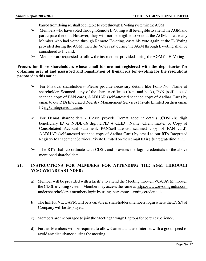barred from doing so, shall be eligible to vote through E Voting system in the AGM.

- > Members who have voted through Remote E-Voting will be eligible to attend the AGM and participate there at. However, they will not be eligible to vote at the AGM. In case any Member who had voted through Remote E-voting, casts his vote again at the E- Voting provided during the AGM, then the Votes cast during the AGM through E-voting shall be considered as Invalid.
- â Members are requested to follow the instructions provided during the AGM for E- Voting.

#### **Process for those shareholders whose email ids are not registered with the depositories for obtaining user id and password and registration of E-mail ids for e-voting for the resolutions proposed in this notice.**

- $\triangleright$  For Physical shareholders- Please provide necessary details like Folio No., Name of shareholder, Scanned copy of the share certificate (front and back), PAN (self-attested scanned copy of PAN card), AADHAR (self-attested scanned copy of Aadhar Card) by email to our RTA Integrated Registry Management Services Private Limited on their email ID irg@integratedindia.in.
- â For Demat shareholders Please provide Demat account details (CDSL-16 digit beneficiary ID or NSDL-16 digit DPID + CLID), Name, Client master or Copy of Consolidated Account statement, PAN(self-attested scanned copy of PAN card), AADHAR (self-attested scanned copy of Aadhar Card) by email to our RTA Integrated Registry Management Services Private Limited on their email ID irg@integratedindia.in.
- > The RTA shall co-ordinate with CDSL and provides the login credentials to the above mentioned shareholders.

## **21. INSTRUCTIONS FOR MEMBERS FOR ATTENDING THE AGM THROUGH VC/OAVM ARE AS UNDER:**

- a) Member will be provided with a facility to attend the Meeting through VC/OAVM through the CDSL e-voting system. Member may access the same at https://www.evotingindia.com under shareholders / members login by using the remote e-voting credentials.
- b) The link for VC/OAVM will be available in shareholder /members login where the EVSN of Company will be displayed.
- c) Members are encouraged to join the Meeting through Laptops for better experience.
- d) Further Members will be required to allow Camera and use Internet with a good speed to avoid any disturbance during the meeting.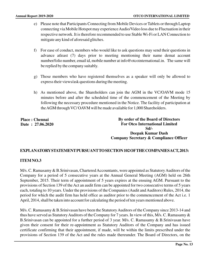- e) Please note that Participants Connecting from Mobile Devices or Tablets or through Laptop connecting via Mobile Hotspot may experience Audio/Video loss due to Fluctuation in their respective network. It is therefore recommended to use Stable Wi-Fi or LAN Connection to mitigate any kind of aforesaid glitches.
- f) For ease of conduct, members who would like to ask questions may send their questions in advance atleast (7) days prior to meeting mentioning their name demat account number/folio number, email id, mobile number at info@otcointernational.in. The same will be replied by the company suitably.
- g) Those members who have registered themselves as a speaker will only be allowed to express their views/ask questions during the meeting.
- h) As mentioned above, the Shareholders can join the AGM in the VC/OAVM mode 15 minutes before and after the scheduled time of the commencement of the Meeting by following the necessary procedure mentioned in the Notice. The facility of participation at the AGM through VC/ OAVM will be made available for 1,000 Shareholders.

**Place : Chennai Date : 27.06.2020**

**By order of the Board of Directors For Otco International Limited Sd/- Deepak Kumar Dash Company Secretary & Compliance Officer**

#### **EXPLANATORY STATEMENT PURSUANT TO SECTION 102 OF THE COMPANIES ACT, 2013:**

#### **ITEM NO.3**

M/s. C. Ramasamy & B.Srinivasan, Chartered Accountants, were appointed as Statutory Auditors of the Company for a period of 5 consecutive years at the Annual General Meeting (AGM) held on 26th September, 2015. Their term of appointment of 5 years expires at the ensuing AGM. Pursuant to the provisions of Section 139 of the Act an audit firm can be appointed for two consecutive terms of 5 years each, totaling to 10 years. Under the provisions of the Companies (Audit and Auditors) Rules, 2014, the period for which the audit firm has held office as auditor prior to the commencement of the Act i.e. 1 April, 2014, shall be taken into account for calculating the period of ten years mentioned above.

M/s. C. Ramasamy & B.Srinivasan have been the Statutory Auditors of the Company since 2013-14 and thus have served as Statutory Auditors of the Company for 7 years. In view of this, M/s. C. Ramasamy & B.Srinivasan can be appointed for a further period of 3 year. M/s. C. Ramasamy & B.Srinivasan have given their consent for their re-appointment as Statutory Auditors of the Company and has issued certificate confirming that their appointment, if made, will be within the limits prescribed under the provisions of Section 139 of the Act and the rules made thereunder. The Board of Directors, on the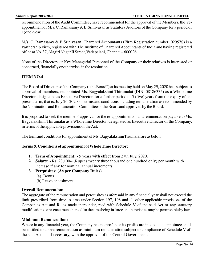recommendation of the Audit Committee, have recommended for the approval of the Members, the reappointment of M/s. C. Ramasamy & B.Srinivasan as Statutory Auditors of the Company for a period of 1(one) year.

M/s. C. Ramasamy & B.Srinivasan, Chartered Accountants (Firm Registration number: 02957S) is a Partnership Firm, registered with The Institute of Chartered Accountants of India and having registered office at No. 37, Alagiri Nagar II Street, Vadapalani, Chennai – 600026

None of the Directors or Key Managerial Personnel of the Company or their relatives is interested or concerned, financially or otherwise, in the resolution.

### **ITEM NO.4**

The Board of Directors of the Company ("the Board") at its meeting held on May 29, 2020 has, subject to approval of members, reappointed Ms. Bagyalakshmi Thirumalai (DIN: 08186335) as a Wholetime Director, designated as Executive Director, for a further period of 5 (five) years from the expiry of her present term, that is, July 26, 2020, on terms and conditions including remuneration as recommended by the Nomination and Remuneration Committee of the Board and approved by the Board.

It is proposed to seek the members' approval for the re-appointment of and remuneration payable to Ms. Bagyalakshmi Thirumalai as a Wholetime Director, designated as Executive Director of the Company, in terms of the applicable provisions of the Act.

The term and conditions for appointment of Ms. BagyalakshmiTirumalai are as below:

#### **Terms & Conditions of appointment of Whole Time Director:**

- **1. Term of Appointment: -** 5 years **with effect** from 27th July, 2020.
- **2. Salary: -** Rs. 23,100/- (Rupees twenty three thousand one hundred only) per month with increase if any for nominal annual increments.
- **3. Perquisites: (As per Company Rules)**
	- (a) Bonus
	- (b) Leave encashment

#### **Overall Remuneration:**

The aggregate of the remuneration and perquisites as aforesaid in any financial year shall not exceed the limit prescribed from time to time under Section 197, 198 and all other applicable provisions of the Companies Act and Rules made thereunder, read with Schedule V of the said Act or any statutory modifications or re-enactment thereof for the time being in force or otherwise as may be permissible by law.

#### **Minimum Remuneration:**

Where in any financial year, the Company has no profits or its profits are inadequate, appointee shall be entitled to above remuneration as minimum remuneration subject to compliance of Schedule V of the said Act and if necessary, with the approval of the Central Government.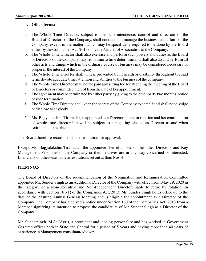#### **4. Other Terms:**

- a. The Whole Time Director, subject to the superintendence, control and direction of the Board of Directors of the Company, shall conduct and manage the business and affairs of the Company, except in the matters which may be specifically required to be done by the Board either by the Companies Act, 2013 or by the Articles of Association of the Company.
- b. The Whole Time Director shall also exercise and perform such powers and duties as the Board of Directors of the Company may from time to time determine and shall also do and perform all other acts and things which in the ordinary course of business may be considered necessary or proper in the interest of the Company.
- c. The Whole Time Director shall, unless prevented by ill health or disability throughout the said term, devote adequate time, attention and abilities to the business of the company.
- d. The Whole Time Director shall not be paid any sitting fee for attending the meeting of the Board of Directors or committee thereof from the date of her appointment.
- e. The agreement may be terminated by either party by giving to the other party two months' notice of such termination.
- f. The Whole Time Director shall keep the secrets of the Company to herself and shall not divulge or disclose to anybody.
- 5. Ms. Bagyalakshmi Tirumalai, is appointed as a Director liable for rotation and her continuation of whole time directorship will be subject to her getting elected as Director as and when retirement takes place.

The Board therefore recommends the resolution for approval.

Except Ms. BagyalakshmiTirumalai (the appointee) herself, none of the other Directors and Key Management Personnel of the Company or their relatives are in any way concerned or interested, financially or otherwise in these resolutions set out at Item Nos. 4.

#### **ITEM NO.5**

The Board of Directors on the recommendation of the Nomination and Remuneration Committee appointed Mr. Sunder Singh as an Additional Director of the Company with effect from May 29, 2020 in the category of a Non-Executive and Non-Independent Director, liable to retire by rotation. In accordance with Section 161(1) of the Companies Act, 2013, Mr. Sunder Singh holds office up to the date of the ensuing Annual General Meeting and is eligible for appointment as a Director of the Company. The Company has received a notice under Section 160 of the Companies Act, 2013 from a Member signifying its intention to propose the candidature of Mr. Sunder Singh as a Director of the Company.

Mr. Sundersingh, M.Sc.(Agri), a prominent and leading personality and has worked in Government Gazetted officer both in State and Central for a period of 5 years and having more than 40 years of experience in Management consultant/advisor.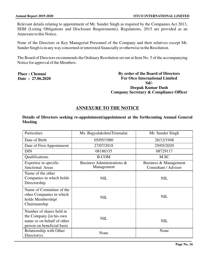Relevant details relating to appointment of Mr. Sunder Singh as required by the Companies Act 2013, SEBI (Listing Obligations and Disclosure Requirements), Regulations, 2015 are provided as an Annexure to this Notice.

None of the Directors or Key Managerial Personnel of the Company and their relatives except Mr. Sunder Singh is in any way concerned or interested financially or otherwise in the Resolution.

The Board of Directors recommends the Ordinary Resolution set out at Item No. 5 of the accompanying Notice for approval of the Members.

**Place : Chennai Date : 27.06.2020**

**By order of the Board of Directors For Otco International Limited Sd/- Deepak Kumar Dash Company Secretary & Compliance Officer**

#### **ANNEXURE TO THE NOTICE**

**Details of Directors seeking re-appointment/appointment at the forthcoming Annual General Meeting** 

| Particulars                                                                                                     | Ms. BagyalakshmiTirumalai                | Mr. Sunder Singh                              |
|-----------------------------------------------------------------------------------------------------------------|------------------------------------------|-----------------------------------------------|
| Date of Birth                                                                                                   | 05/05/1980                               | 26/12/1948                                    |
| Date of First Appointment                                                                                       | 27/07/2018                               | 29/05/2020                                    |
| <b>DIN</b>                                                                                                      | 08186335                                 | 08729117                                      |
| Qualifications                                                                                                  | <b>B.COM</b>                             | M.SC                                          |
| Expertise in specific<br>functional Areas                                                                       | Business Administrations &<br>Management | Business & Management<br>Consultant / Advisor |
| Name of the other<br>Companies in which holds<br>Directorship                                                   | <b>NIL</b>                               | <b>NIL</b>                                    |
| Name of Committee of the<br>other Companies in which<br>holds Membership/<br>Chairmanship                       | <b>NIL</b>                               | <b>NIL</b>                                    |
| Number of shares held in<br>the Company [in his own<br>name or on behalf of other<br>person on beneficial basis | <b>NIL</b>                               | <b>NIL</b>                                    |
| Relationship with Other<br>Directory(s)                                                                         | None                                     | None                                          |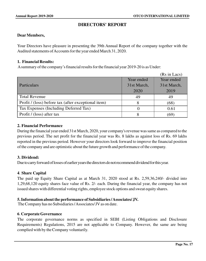## **DIRECTORS' REPORT**

#### **Dear Members,**

Your Directors have pleasure in presenting the 39th Annual Report of the company together with the Audited statements of Accounts for the year ended March 31, 2020.

#### **1. Financial Results:**

A summary of the company's financial results for the financial year 2019-20 is as Under:

|                                                     |             | (Rs in Lacs) |
|-----------------------------------------------------|-------------|--------------|
|                                                     | Year ended  | Year ended   |
| <b>Particulars</b>                                  | 31st March, | 31st March,  |
|                                                     | 2020        | 2019         |
| <b>Total Revenue</b>                                | 49          | 49           |
| Profit / (loss) before tax (after exceptional item) |             | (68)         |
| Tax Expenses (Including Deferred Tax)               |             | 0.61         |
| Profit / (loss) after tax                           |             | 69           |

#### **2. Financial Performance**

During the financial year ended 31st March, 2020, your company's revenue was same as compared to the previous period. The net profit for the financial year was Rs. 8 lakhs as against loss of Rs. 69 lakhs reported in the previous period. However your directors look forward to improve the financial position of the company and are optimistic about the future growth and performance of the company.

#### **3. Dividend:**

Due to carry forward of losses of earlier years the directors do not recommend dividend for this year.

#### **4**. **Share Capital**

The paid up Equity Share Capital as at March 31, 2020 stood at Rs. 2,59,36,240/- divided into 1,29,68,120 equity shares face value of Rs. 2/- each. During the financial year, the company has not issued shares with differential voting rights, employee stock options and sweat equity shares.

#### **5. Information about the performance of Subsidiaries / Associates/ JV.**

The Company has no Subsidiaries / Associates/ JV as on date.

#### **6**. **Corporate Governance**

The corporate governance norms as specified in SEBI (Listing Obligations and Disclosure Requirements) Regulations, 2015 are not applicable to Company. However, the same are being complied with by the Company voluntarily.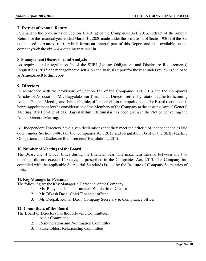#### **7**. **Extract of Annual Return**

Pursuant to the provisions of Section 134(3)(a) of the Companies Act, 2013, Extract of the Annual Return for the financial year ended March 31, 2020 made under the provisions of Section 92(3) of the Act is enclosed as **Annexure-A** which forms an integral part of this Report and also available on the company website viz. www.otcointernational.in.

#### **8**. M**anagement Discussion and Analysis**

As required under regulation 34 of the SEBI (Listing Obligations and Disclosure Requirements) Regulations, 2015, the management discussion and analysis report for the year under review is enclosed as **Annexure-B** to this report.

#### **9. Directors**

In accordance with the provisions of Section 152 of the Companies Act, 2013 and the Company's Articles of Association, Ms. Bagyalakshmi Thirumalai, Director retires by rotation at the forthcoming Annual General Meeting and, being eligible, offers herself for re-appointment. The Board recommends her re-appointment for the consideration of the Members of the Company at the ensuing Annual General Meeting. Brief profile of Ms. Bagyalakshmi Thirumalai has been given in the Notice convening the Annual General Meeting.

All Independent Directors have given declarations that they meet the criteria of independence as laid down under Section 149(6) of the Companies Act, 2013 and Regulation 16(b) of the SEBI (Listing Obligations and Disclosure Requirements) Regulations, 2015.

#### **10. Number of Meetings of the Board**

The Board met 4 (Four) times during the financial year. The maximum interval between any two meetings did not exceed 120 days, as prescribed in the Companies Act, 2013. The Company has complied with the applicable Secretarial Standards issued by the Institute of Company Secretaries of India.

#### **11. Key Managerial Personal**

The following are the Key Managerial Personnel of the Company:

- 1. Ms. Bagyalakshmi Thirumalai: Whole time Director
- 2. Mr. Bikash Dash: Chief Financial officer
- 3. Mr. Deepak Kumar Dash: Company Secretary & Compliance officer

#### **12. Committees of the Board**

The Board of Directors has the following Committees:

- 1. Audit Committee
- 2. Remuneration and Nomination Committee
- 3. Stakeholders Relationship Committee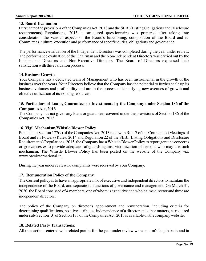#### **13. Board Evaluation**

Pursuant to the provisions of the Companies Act, 2013 and the SEBI (Listing Obligations and Disclosure requirements) Regulations, 2015, a structured questionnaire was prepared after taking into consideration the various aspects of the Board's functioning, composition of the Board and its Committees, culture, execution and performance of specific duties, obligations and governance.

The performance evaluation of the Independent Directors was completed during the year under review. The performance evaluation of the Chairman and the Non-Independent Directors was carried out by the Independent Directors and Non-Executive Directors. The Board of Directors expressed their satisfaction with the evaluation process.

#### **14**. **Business Growth**

Your Company has a dedicated team of Management who has been instrumental in the growth of the business over the years. Your Directors believe that the Company has the potential to further scale up its business volumes and profitability and are in the process of identifying new avenues of growth and effective utilization of its existing resources.

#### **15. Particulars of Loans, Guarantees or Investments by the Company under Section 186 of the Companies Act, 2013**

The Company has not given any loans or guarantees covered under the provisions of Section 186 of the Companies Act, 2013.

#### **16. Vigil Mechanism/Whistle Blower Policy**

Pursuant to Section 177(9) of the Companies Act, 2013 read with Rule 7 of the Companies (Meetings of Board and its Powers) Rules, 2014 and Regulation 22 of the SEBI (Listing Obligations and Disclosure Requirements) Regulations, 2015, the Company has a Whistle Blower Policy to report genuine concerns or grievances & to provide adequate safeguards against victimization of persons who may use such mechanism. The Whistle Blower Policy has been posted on the website of the Company viz. www.otcointernational.in.

During the year under review no complaints were received by your Company.

#### **17. Remuneration Policy of the Company.**

The Current policy is to have an appropriate mix of executive and independent directors to maintain the independence of the Board, and separate its functions of governance and management. On March 31, 2020, the Board consisted of 4 members, one of whom is executive and whole time director and three are independent directors.

The policy of the Company on director's appointment and remuneration, including criteria for determining qualifications, positive attributes, independence of a director and other matters, as required under sub-Section (3) of Section 178 of the Companies Act, 2013 is available on the company website.

#### **18. Related Party Transactions:**

All transactions entered with related parties for the year under review were on arm's length basis and in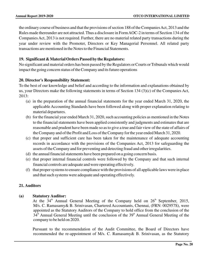the ordinary course of business and that the provisions of section 188 of the Companies Act, 2013 and the Rules made thereunder are not attracted. Thus a disclosure in Form AOC-2 in terms of Section 134 of the Companies Act, 2013 is not required. Further, there are no material related party transactions during the year under review with the Promoter, Directors or Key Managerial Personnel. All related party transactions are mentioned in the Notes to the Financial Statements.

#### **19. Significant & Material Orders Passed by the Regulators:**

No significant and material orders has been passed by the Regulators or Courts or Tribunals which would impact the going concern status of the Company and its future operations

#### **20. Director's Responsibility Statement:**

To the best of our knowledge and belief and according to the information and explanations obtained by us, your Directors make the following statements in terms of Section  $134 (3)(c)$  of the Companies Act,  $2013$ 

- (a) in the preparation of the annual financial statements for the year ended March 31, 2020, the applicable Accounting Standards have been followed along with proper explanation relating to material departures.
- (b) for the financial year ended March 31, 2020, such accounting policies as mentioned in the Notes to the financial statements have been applied consistently and judgments and estimates that are reasonable and prudent have been made so as to give a true and fair view of the state of affairs of the Company and of the Profit and Loss of the Company for the year ended March 31, 2020.
- (c) that proper and sufficient care has been taken for the maintenance of adequate accounting records in accordance with the provisions of the Companies Act, 2013 for safeguarding the assets of the Company and for preventing and detecting fraud and other irregularities.
- (d) the annual financial statements have been prepared on a going concern basis.
- (e) that proper internal financial controls were followed by the Company and that such internal financial controls are adequate and were operating effectively.
- (f) that proper systems to ensure compliance with the provisions of all applicable laws were in place and that such systems were adequate and operating effectively.

#### **21. Auditors**

#### **(a) Statutory Auditor:**

At the  $34<sup>th</sup>$  Annual General Meeting of the Company held on  $26<sup>th</sup>$  September, 2015, M/s. C. Ramasamy& B. Srinivasan, Chartered Accountants, Chennai, (FRN: 002957S), were appointed as the Statutory Auditors of the Company to hold office from the conclusion of the  $34<sup>th</sup>$  Annual General Meeting until the conclusion of the  $39<sup>th</sup>$  Annual General Meeting of the company to be held on 2020.

Pursuant to the recommendation of the Audit Committee, the Board of Directors have recommended the re-appointment of M/s. C. Ramasamy& B. Srinivasan, as the Statutory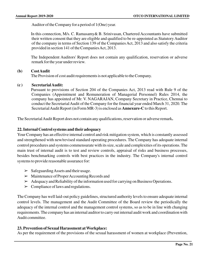Auditor of the Company for a period of 1(One) year.

In this connection, M/s. C. Ramasamy& B. Srinivasan, Chartered Accountants have submitted their written consent that they are eligible and qualified to be re-appointed as Statutory Auditor of the company in terms of Section 139 of the Companies Act, 2013 and also satisfy the criteria provided in section 141 of the Companies Act, 2013.

The Independent Auditors' Report does not contain any qualification, reservation or adverse remark for the year under review.

#### **(b) Cost Audit**

The Provision of cost audit requirements is not applicable to the Company.

#### **(c ) Secretarial Audit:**

Pursuant to provisions of Section 204 of the Companies Act, 2013 read with Rule 9 of the Companies (Appointment and Remuneration of Managerial Personnel) Rules 2014, the company has appointed of Mr. V. NAGARAJAN, Company Secretary in Practice, Chennai to conduct the Secretarial Audit of the Company for the financial year ended March 31, 2020. The Secretarial Audit Report (in Form MR-3) is enclosed as **Annexure-C** to this Report.

The Secretarial Audit Report does not contain any qualifications, reservation or adverse remark**.**

#### **22. Internal Control systems and their adequacy**

Your Company has an effective internal control and risk mitigation system, which is constantly assessed and strengthened with new/revised standard operating procedures. The Company has adequate internal control procedures and systems commensurate with its size, scale and complexities of its operations. The main trust of internal audit is to test and review controls, appraisal of risks and business processes, besides benchmarking controls with best practices in the industry. The Company's internal control systems to provide reasonable assurance for:

- $\geq$  Safeguarding Assets and their usage.
- > Maintenance of Proper Accounting Records and
- Adequacy and Reliability of the information used for carrying on Business Operations.
- $\triangleright$  Compliance of laws and regulations.

The Company has well laid-out policy guidelines, structured authority levels to ensure adequate internal control levels. The management and the Audit Committee of the Board review the periodically the adequacy of the internal control and the management control systems, so as to be in line with changing requirements. The company has an internal auditor to carry out internal audit work and coordination with Audit committee.

#### **23. Prevention of Sexual Harassment at Workplace:**

As per the requirement of the provisions of the sexual harassment of women at workplace (Prevention,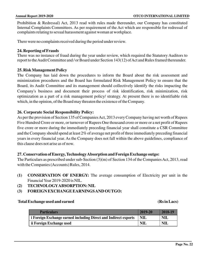Prohibition & Redressal) Act, 2013 read with rules made thereunder, our Company has constituted Internal Complaints Committees. As per requirement of the Act which are responsible for redressal of complaints relating to sexual harassment against woman at workplace.

There were no complaints received during the period under review.

#### **24. Reporting of Frauds**

There was no instance of fraud during the year under review, which required the Statutory Auditors to report to the Audit Committee and / or Board under Section 143(12) of Act and Rules framed thereunder.

#### **25. Risk Management Policy**

The Company has laid down the procedures to inform the Board about the risk assessment and minimization procedures and the Board has formulated Risk Management Policy to ensure that the Board, its Audit Committee and its management should collectively identify the risks impacting the Company's business and document their process of risk identification, risk minimization, risk optimization as a part of a risk management policy/ strategy. At present there is no identifiable risk which, in the opinion, of the Board may threaten the existence of the Company.

#### **26. Corporate Social Responsibility Policy:**

As per the provision of Section 135 of Companies Act, 2013 every Company having net worth of Rupees Five Hundred Crore or more, or turnover of Rupees One thousand crore or more or a net profit of Rupees five crore or more during the immediately preceding financial year shall constitute a CSR Committee and the Company should spend at least 2% of average net profit of three immediately preceding financial years in every financial year. As the Company does not fall within the above guidelines, compliance of this clause does not arise as of now.

#### **27. Conservation of Energy, Technology Absorption and Foreign Exchange outgo:**

The Particulars as prescribed under sub-Section (3)(m) of Section 134 of the Companies Act, 2013, read with the Companies (Accounts) Rules, 2014.

- **(1) CONSERVATION OF ENERGY:** The average consumption of Electricity per unit in the Financial Year 2019-2020 is NIL.
- **(2) TECHNOLOGY ABSORPTION: NIL**
- **(3) FOREIGN EXCHANGE EARNINGS AND OUTGO:**

#### **Total Exchange used and earned in the set of the set of the set of the set of the set of the set of the set of the set of the set of the set of the set of the set of the set of the set of the set of the set of the set of**

#### **Particulars 2019-20 2018-19 i Foreign Exchange earned including Direct and Indirect exports NIL NIL ii Foreign Exchange used NIL NIL**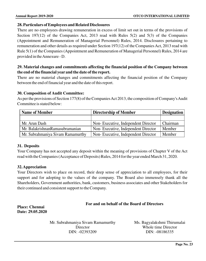#### **28. Particulars of Employees and Related Disclosures**

There are no employees drawing remuneration in excess of limit set out in terms of the provisions of Section 197(12) of the Companies Act, 2013 read with Rules 5(2) and 5(3) of the Companies (Appointment and Remuneration of Managerial Personnel) Rules, 2014. Disclosures pertaining to remuneration and other details as required under Section 197(12) of the Companies Act, 2013 read with Rule 5(1) of the Companies (Appointment and Remuneration of Managerial Personnel) Rules, 2014 are provided in the Annexure - D.

#### **29. Material changes and commitments affecting the financial position of the Company between the end of the financial year and the date of the report.**

There are no material changes and commitments affecting the financial position of the Company between the end of financial year and the date of this report.

#### **30. Composition of Audit Committee:**

As per the provisions of Section 177(8) of the Companies Act 2013, the composition of Company's Audit Committee is stated below:

| <b>Name of Member</b>             | <b>Directorship of Member</b>       | <b>Designation</b> |
|-----------------------------------|-------------------------------------|--------------------|
|                                   |                                     |                    |
| Mr. Arun Dash                     | Non-Executive, Independent Director | Chairman           |
| Mr. BalakrishnanRamasubramanian   | Non-Executive, Independent Director | Member             |
| Mr. Subrahmaniya Sivam Ramamurthy | Non-Executive, Independent Director | Member             |

#### **31. Deposits**

Your Company has not accepted any deposit within the meaning of provisions of Chapter V of the Act read with the Companies (Acceptance of Deposits) Rules, 2014 for the year ended March 31, 2020.

#### **32. Appreciation**

Your Directors wish to place on record, their deep sense of appreciation to all employees, for their support and for adopting to the values of the company. The Board also immensely thank all the Shareholders, Government authorities, bank, customers, business associates and other Stakeholders for their continued and consistent support to the Company.

#### **For and on behalf of the Board of Directors**

**Place: Chennai Date: 29.05.2020**

> Mr. Subrahmaniya Sivam Ramamurthy Director DIN: -02393209

Ms. Bagyalakshmi Thirumalai Whole time Director DIN: -08186335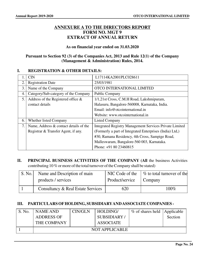### **ANNEXURE A TO THE DIRECTORS REPORT FORM NO. MGT 9 EXTRACT OF ANNUAL RETURN**

#### **As on financial year ended on 31.03.2020**

#### **Pursuant to Section 92 (3) of the Companies Act, 2013 and Rule 12(1) of the Company (Management & Administration) Rules, 2014.**

## **I. REGISTRATION & OTHER DETAILS:**

|    | <b>CIN</b>                             | L17114KA2001PLC028611                                    |
|----|----------------------------------------|----------------------------------------------------------|
| 2. | <b>Registration Date</b>               | 25/03/1981                                               |
| 3. | Name of the Company                    | OTCO INTERNATIONAL LIMITED                               |
| 4. | Category/Sub-category of the Company   | <b>Public Company</b>                                    |
| 5. | Address of the Registered office $\&$  | 1/1,21st Cross, C.M.H Road, Lakshmipuram,                |
|    | contact details                        | Halasuru, Bangalore-560008, Karnataka, India.            |
|    |                                        | Email: $info@o$ tcointernational.in                      |
|    |                                        | Website: www.otcointernational.in                        |
| 6. | Whether listed Company                 | <b>Listed Company</b>                                    |
| 7. | Name, Address & contact details of the | Integrated Registry Management Services Private Limited  |
|    | Registrar & Transfer Agent, if any.    | (Formerly a part of Integrated Enterprises (India) Ltd.) |
|    |                                        | #30, Ramana Residency, 4th Cross, Sampige Road,          |
|    |                                        | Malleswaram, Bangalore-560 003, Karnataka.               |
|    |                                        | Phone: +91 80 23460815                                   |

## **II. PRINCIPAL BUSINESS ACTIVITIES OF THE COMPANY (All** the business Activities contributing 10 % or more of the total turnover of the Company shall be stated)

| S. No. | Name and Description of main       | NIC Code of the | $\%$ to total turnover of the |
|--------|------------------------------------|-----------------|-------------------------------|
|        | products / services                | Product/service | Company                       |
|        | Consultancy & Real Estate Services | 620             | $100\%$                       |

#### **III. PARTICULARS OF HOLDING, SUBSIDIARY AND ASSOCIATE COMPANIES -**

| S. No. | NAME AND          | CIN/GLN               | HOLDING/    | % of shares held   Applicable |         |  |  |  |  |  |
|--------|-------------------|-----------------------|-------------|-------------------------------|---------|--|--|--|--|--|
|        | <b>ADDRESS OF</b> |                       | SUBSIDIARY/ |                               | Section |  |  |  |  |  |
|        | THE COMPANY       |                       | ASSOCIATE   |                               |         |  |  |  |  |  |
|        |                   | <b>NOT APPLICABLE</b> |             |                               |         |  |  |  |  |  |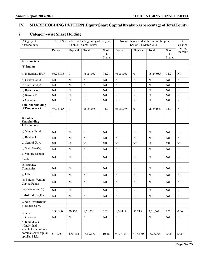## **IV. SHARE HOLDING PATTERN (Equity Share Capital Breakup as percentage of Total Equity)**

## **i) Category-wise Share Holding**

| Category of<br>Shareholders                                                      |           |                  | No. of Shares held at the beginning of the year<br>[As on 31-March-2019] |                                  |           | [As on 31-March-2020] | No. of Shares held at the end of the year |                                  | $\%$<br>Change     |
|----------------------------------------------------------------------------------|-----------|------------------|--------------------------------------------------------------------------|----------------------------------|-----------|-----------------------|-------------------------------------------|----------------------------------|--------------------|
|                                                                                  | Demat     | Physical         | Total                                                                    | $%$ of<br>Total<br><b>Shares</b> | Demat     | Physical              | Total                                     | $%$ of<br>Total<br><b>Shares</b> | during<br>the year |
| A. Promoters                                                                     |           |                  |                                                                          |                                  |           |                       |                                           |                                  |                    |
| $(1)$ Indian                                                                     |           |                  |                                                                          |                                  |           |                       |                                           |                                  |                    |
| a) Individual/HUF                                                                | 96,24,085 | $\overline{0}$   | 96,24,085                                                                | 74.21                            | 96,24,085 | $\mathbf{0}$          | 96,24,085                                 | 74.21                            | Nil                |
| b) Central Govt                                                                  | Nil       | Nil              | Nil                                                                      | Nil                              | Nil       | Nil                   | Nil                                       | Nil                              | Nil                |
| c) State $Govt(s)$                                                               | Nil       | Nil              | Nil                                                                      | Nil                              | Nil       | Nil                   | Nil                                       | Nil                              | Nil                |
| d) Bodies Corp.                                                                  | Nil       | Nil              | Nil                                                                      | Nil                              | Nil       | Nil                   | Nil                                       | Nil                              | Nil                |
| e) Banks / FI                                                                    | Nil       | Nil              | Nil                                                                      | Nil                              | Nil       | Nil                   | Nil                                       | Nil                              | Nil                |
| f) Any other                                                                     | Nil       | Nil              | Nil                                                                      | Nil                              | Nil       | Nil                   | Nil                                       | Nil                              | Nil                |
| <b>Total shareholding</b><br>of Promoter $(A)$                                   | 96,24,085 | $\boldsymbol{0}$ | 96,24,085                                                                | 74.21                            | 96,24,085 | $\mathbf{0}$          | 96,24,085                                 | 74.21                            | Nil                |
| <b>B.</b> Public<br>Shareholding                                                 |           |                  |                                                                          |                                  |           |                       |                                           |                                  |                    |
| 1. Institutions                                                                  |           |                  |                                                                          |                                  |           |                       |                                           |                                  |                    |
| a) Mutual Funds                                                                  | Nil       | Nil              | Nil                                                                      | Nil                              | Nil       | Nil                   | Nil                                       | Nil                              | Nil                |
| b) Banks / FI                                                                    | Nil       | Nil              | Nil                                                                      | Nil                              | Nil       | Nil                   | Nil                                       | Nil                              | Nil                |
| c) Central Govt                                                                  | Nil       | Nil              | Nil                                                                      | Nil                              | Nil       | Nil                   | Nil                                       | Nil                              | Nil                |
| $d)$ State Govt $(s)$                                                            | Nil       | Nil              | Nil                                                                      | Nil                              | Nil       | Nil                   | Nil                                       | Nil                              | Nil                |
| e) Venture Capital<br>Funds                                                      | Nil       | Nil              | Nil                                                                      | Nil                              | Nil       | Nil                   | Nil                                       | Nil                              | Nil                |
| f) Insurance<br>Companies                                                        | Nil       | Nil              | Nil                                                                      | Nil                              | Nil       | Nil                   | Nil                                       | Nil                              | Nil                |
| $g$ ) FIIs                                                                       | Nil       | Nil              | Nil                                                                      | Nil                              | Nil       | Nil                   | Nil                                       | Nil                              | Nil                |
| h) Foreign Venture<br>Capital Funds                                              | Nil       | Nil              | Nil                                                                      | Nil                              | Nil       | Nil                   | Nil                                       | Nil                              | Nil                |
| i) Others (specify)                                                              | Nil       | Nil              | Nil                                                                      | Nil                              | Nil       | Nil                   | Nil                                       | Nil                              | Nil                |
| Sub-total $(B)(1)$ :-                                                            | Nil       | Nil              | Nil                                                                      | Nil                              | Nil       | Nil                   | Nil                                       | Nil                              | Nil                |
| 2. Non-Institutions                                                              |           |                  |                                                                          |                                  |           |                       |                                           |                                  |                    |
| a) Bodies Corp.                                                                  |           |                  |                                                                          |                                  |           |                       |                                           |                                  |                    |
| i) Indian                                                                        | 1,30,500  | 30,850           | 1,61,350                                                                 | 1.24                             | 1,64,447  | 57,215                | 2,21,662                                  | 1.70                             | 0.46               |
| ii) Overseas                                                                     | Nil       | Nil              | Nil                                                                      | Nil                              | Nil       | Nil                   | Nil                                       | Nil                              | Nil                |
| b) Individuals                                                                   |           |                  |                                                                          |                                  |           |                       |                                           |                                  |                    |
| i) Individual<br>shareholders holding<br>nominal share capital<br>uptoRs. 1 lakh | 8,74,057  | 4,85,115         | 13,59,172                                                                | 10.48                            | 9,12,445  | 4,15,560              | 13,28,005                                 | 10.24                            | (0.24)             |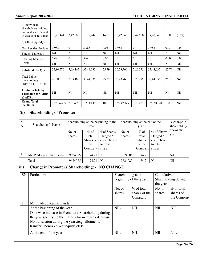| ii) Individual<br>shareholders holding<br>nominal share capital<br>in excess of Rs 1 lakh | 15,71,444   | 2,47,500 | 18,18,944   | 14.02 | 15,42,845   | 2,47,500       | 17,90,345       | 13.80 | (0.22) |
|-------------------------------------------------------------------------------------------|-------------|----------|-------------|-------|-------------|----------------|-----------------|-------|--------|
| c) Others (specify)                                                                       |             |          |             |       |             |                |                 |       |        |
| Non Resident Indians                                                                      | 3,983       | $\Omega$ | 3,983       | 0.03  | 3,983       | $\Omega$       | 3.983           | 0.03  | 0.00   |
| <b>Foreign Nationals</b>                                                                  | Nil         | Nil      | Nil         | Nil   | Nil         | Nil            | Nil             | Nil   | Nil    |
| <b>Clearing Members</b>                                                                   | 586         | $\Omega$ | 586         | 0.00  | 40          | $\Omega$       | 40              | 0.00  | 0.00   |
| Trusts                                                                                    | <b>Nil</b>  | Nil      | Ni1         | Nil   | Nil         | N <sub>i</sub> | N <sub>il</sub> | Nil   | Nil    |
| Sub-total $(B)(2)$ : -                                                                    | 25,80,570   | 7,63,465 | 33,44,035   | 25.79 | 26, 23, 760 | 7,20,275       | 33,44,035       | 25.79 | Nil    |
| <b>Total Public</b><br>Shareholding<br>$(B)=(B)(1)+(B)(2)$                                | 25,80,570   | 7,63,465 | 33,44,035   | 25.79 | 26, 23, 760 | 7,20,275       | 33,44,035       | 25.79 | Nil    |
| C. Shares held by<br><b>Custodian for GDRs</b><br>& ADRs                                  | Nil         | Nil      | Ni1         | Nil   | <b>Nil</b>  | <b>Nil</b>     | Ni1             | Nil   | Nil    |
| <b>Grand Total</b><br>$(A+B+C)$                                                           | 1,22,04,655 | 7,63,465 | 1,29,68,120 | 100   | 1,22,47,845 | 7,20,275       | 1,29,68,120     | 100   | Nil    |

## **(ii) Shareholding of Promoter-**

| S<br>N | Shareholder's Name      | Shareholding at the beginning of the<br>year |                                                 |                                                                     | Shareholding at the end of the<br>year |                                                       |                                                              | $%$ change in<br>shareholding |
|--------|-------------------------|----------------------------------------------|-------------------------------------------------|---------------------------------------------------------------------|----------------------------------------|-------------------------------------------------------|--------------------------------------------------------------|-------------------------------|
|        |                         | No. of<br><b>Shares</b>                      | $\%$ of<br>total<br>Shares of<br>the<br>Company | <b>% of Shares</b><br>Pledged /<br>encumbered<br>to total<br>shares | No. of<br><b>Shares</b>                | $%$ of<br>total<br><b>Shares</b><br>of the<br>Company | % of Shares<br>Pledged /<br>encumbered<br>to total<br>shares | during the<br>year            |
| 1.     | Mr. Pradeep Kumar Panda | 9624085                                      | 74.21                                           | Nil                                                                 | 9624085                                | 74.21                                                 | Nil                                                          | Nil                           |
|        | Total                   | 9624085                                      | 74.21                                           | Nil                                                                 | 9624085                                | 74.21                                                 | Nil                                                          | Nil                           |

## **iii) Change in Promoters' Shareholding: - NO CHANGE**

| <b>SN</b> | Particulars                                                                                                                                                                                                    | Shareholding at the<br>beginning of the year |                                           | Cumulative<br>Shareholding during<br>the year |                                           |
|-----------|----------------------------------------------------------------------------------------------------------------------------------------------------------------------------------------------------------------|----------------------------------------------|-------------------------------------------|-----------------------------------------------|-------------------------------------------|
|           |                                                                                                                                                                                                                | No. of<br>shares                             | $\%$ of total<br>shares of the<br>Company | No. of<br>shares                              | $\%$ of total<br>shares of<br>the Company |
|           | Mr. Pradeep Kumar Panda                                                                                                                                                                                        |                                              |                                           |                                               |                                           |
|           | At the beginning of the year                                                                                                                                                                                   | <b>NIL</b>                                   | <b>NIL</b>                                | <b>NIL</b>                                    | <b>NIL</b>                                |
|           | Date wise increase in Promoters' Shareholding during<br>the year specifying the reasons for increase / decrease<br>No transaction during the year .(e.g. allotment /<br>transfer / bonus / sweat equity, etc): |                                              |                                           |                                               |                                           |
|           | At the end of the year                                                                                                                                                                                         | <b>NIL</b>                                   | <b>NIL</b>                                | <b>NIL</b>                                    | <b>NIL</b>                                |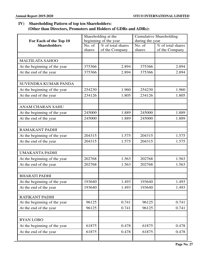## **IV) Shareholding Pattern of top ten Shareholders: (Other than Directors, Promoters and Holders of GDRs and ADRs):**

|                              | Shareholding at the |                       | <b>Cumulative Shareholding</b> |                     |
|------------------------------|---------------------|-----------------------|--------------------------------|---------------------|
| For Each of the Top 10       |                     | beginning of the year | during the year                |                     |
| <b>Shareholders</b>          | No. of              | $%$ of total shares   | No. of                         | $%$ of total shares |
|                              | shares              | of the Company        | shares                         | of the Company      |
|                              |                     |                       |                                |                     |
| <b>MALTILATA SAHOO</b>       |                     |                       |                                |                     |
| At the beginning of the year | 375366              | 2.894                 | 375366                         | 2.894               |
| At the end of the year       | 375366              | 2.894                 | 375366                         | 2.894               |
|                              |                     |                       |                                |                     |
| <b>SUVENDRA KUMAR PANDA</b>  |                     |                       |                                |                     |
| At the beginning of the year | 254230              | 1.960                 | 254230                         | 1.960               |
| At the end of the year       | 234126              | 1.805                 | 234126                         | 1.805               |
|                              |                     |                       |                                |                     |
| <b>ANAM CHARAN SAHU</b>      |                     |                       |                                |                     |
| At the beginning of the year | 245000              | 1.889                 | 245000                         | 1.889               |
| At the end of the year       | 245000              | 1.889                 | 245000                         | 1.889               |
|                              |                     |                       |                                |                     |
| <b>RAMAKANT PADHI</b>        |                     |                       |                                |                     |
| At the beginning of the year | 204315              | 1.575                 | 204315                         | 1.575               |
| At the end of the year       | 204315              | 1.575                 | 204315                         | 1.575               |
|                              |                     |                       |                                |                     |
| <b>UMAKANTA PADHI</b>        |                     |                       |                                |                     |
| At the beginning of the year | 202768              | 1.563                 | 202768                         | 1.563               |
| At the end of the year       | 202768              | 1.563                 | 202768                         | 1.563               |
|                              |                     |                       |                                |                     |
| <b>BHARATI PADHI</b>         |                     |                       |                                |                     |
| At the beginning of the year | 193640              | 1.493                 | 193640                         | 1.493               |
| At the end of the year       | 193640              | 1.493                 | 193640                         | 1.493               |
|                              |                     |                       |                                |                     |
| <b>RATIKANT PADHI</b>        |                     |                       |                                |                     |
| At the beginning of the year | 96125               | 0.741                 | 96125                          | 0.741               |
| At the end of the year       | 96125               | 0.741                 | 96125                          | 0.741               |
| <b>RYAN LOBO</b>             |                     |                       |                                |                     |
| At the beginning of the year | 61875               | 0.478                 | 61875                          | 0.478               |
|                              |                     |                       |                                |                     |
| At the end of the year       | 61875               | 0.478                 | 61875                          | 0.478               |
|                              |                     |                       |                                |                     |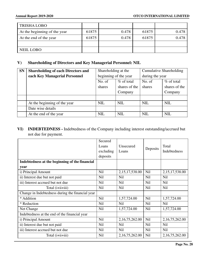| <b>TRISHA LOBO</b>           |       |       |       |       |
|------------------------------|-------|-------|-------|-------|
| At the beginning of the year | 61875 | 0.478 | 61875 | 0.478 |
| At the end of the year       | 61875 | 0.478 | 61875 | 0.478 |
|                              |       |       |       |       |
| NEIL LOBO                    |       |       |       |       |

#### **V) Shareholding of Directors and Key Managerial Personnel: NIL**

| <b>SN</b> | <b>Shareholding of each Directors and</b> | Shareholding at the |                         | <b>Cumulative Shareholding</b> |                 |  |
|-----------|-------------------------------------------|---------------------|-------------------------|--------------------------------|-----------------|--|
|           | each Key Managerial Personnel             |                     | beginning of the year   |                                | during the year |  |
|           |                                           | No. of              | $\%$ of total<br>No. of |                                | $\%$ of total   |  |
|           |                                           | shares              | shares of the<br>shares |                                | shares of the   |  |
|           |                                           |                     | Company                 |                                | Company         |  |
|           |                                           |                     |                         |                                |                 |  |
|           | At the beginning of the year              | <b>NIL</b>          | <b>NIL</b>              | <b>NIL</b>                     | <b>NIL</b>      |  |
|           | Date wise details                         |                     |                         |                                |                 |  |
|           | At the end of the year                    | <b>NIL</b>          | <b>NIL</b>              | <b>NIL</b>                     | <b>NIL</b>      |  |

**VI) INDEBTEDNESS -** Indebtedness of the Company including interest outstanding/accrued but not due for payment.

|                                                  | Secured<br>Loans<br>excluding<br>deposits | Unsecured<br>Loans | Deposits         | Total<br>Indebtedness |
|--------------------------------------------------|-------------------------------------------|--------------------|------------------|-----------------------|
| Indebtedness at the beginning of the financial   |                                           |                    |                  |                       |
| year                                             |                                           |                    |                  |                       |
| i) Principal Amount                              | Nil                                       | 2,15,17,538.00     | Nil              | 2,15,17,538.00        |
| ii) Interest due but not paid                    | Nil                                       | Nil                | Nil              | Nil                   |
| iii) Interest accrued but not due                | Nil                                       | <b>Nil</b>         | Nil              | Nil                   |
| Total $(i+i i+i i j)$                            | Nil                                       | Nil                | Nil              | Nil                   |
| Change in Indebtedness during the financial year |                                           |                    |                  |                       |
| * Addition                                       | Nil                                       | 1,57,724.00        | Nil              | 1,57,724.00           |
| * Reduction                                      | Nil                                       | Nil                | Nil              | Nil                   |
| Net Change                                       | Nil                                       | 1,57,724.00        | Nil              | 1,57,724.00           |
| Indebtedness at the end of the financial year    |                                           |                    |                  |                       |
| i) Principal Amount                              | Nil                                       | 2,16,75,262.00     | N <sub>i</sub> l | 2, 16, 75, 262.00     |
| ii) Interest due but not paid                    | Nil                                       | Nil                | Nil              | Nil                   |
| iii) Interest accrued but not due                | Nil                                       | Nil                | Nil              | Nil                   |
| Total (i+ii+iii)                                 | Nil                                       | 2, 16, 75, 262.00  | Nil              | 2, 16, 75, 262.00     |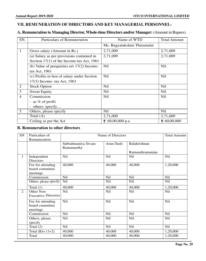## **VII. REMUNERATION OF DIRECTORS AND KEY MANAGERIAL PERSONNEL-**

## **A. Remuneration to Managing Director, Whole-time Directors and/or Manager:** (Amount in Rupees)

| SN.            | Particulars of Remuneration                  | Name of WTD                 | <b>Total Amount</b>   |
|----------------|----------------------------------------------|-----------------------------|-----------------------|
|                |                                              | Ms. Bagyalakshmi Thirumalai |                       |
| 1              | Gross salary (Amount in Rs.)                 | 2,71,009                    | 2,71,009              |
|                | (a) Salary as per provisions contained in    | 2,71,009                    | 2,71,009              |
|                | Section $17(1)$ of the Income-tax Act, 1961  |                             |                       |
|                | (b) Value of perquisites $u/s$ 17(2) Income- | Nil                         | Nil                   |
|                | tax Act, 1961                                |                             |                       |
|                | (c) Profits in lieu of salary under Section  | N <sub>i</sub> l            | Nil                   |
|                | 17(3) Income-tax Act, 1961                   |                             |                       |
| 2              | <b>Stock Option</b>                          | Nil                         | Nil                   |
| $\mathcal{E}$  | <b>Sweat Equity</b>                          | Nil                         | Nil                   |
| $\overline{4}$ | Commission                                   | Nil                         | Nil                   |
|                | - as % of profit                             |                             |                       |
|                | - others, specify                            |                             |                       |
| $\overline{5}$ | Others, please specify                       | Ni1                         | N <sub>il</sub>       |
|                | Total (A)                                    | 2,71,009                    | 2,71,009              |
|                | Ceiling as per the Act                       | ₹. 60,00,000 p.a            | $\bar{x}$ . 60,00,000 |

### **B. Remuneration to other directors**

| <b>SN</b>    | Particulars of                                   | Name of Directors  |                 |                 | <b>Total Amount</b> |
|--------------|--------------------------------------------------|--------------------|-----------------|-----------------|---------------------|
|              | Remuneration                                     |                    |                 |                 |                     |
|              |                                                  | Subrahmaniya Sivam | Arun Dash       | Balakrishnan    |                     |
|              |                                                  | Ramamurthy         |                 |                 |                     |
|              |                                                  |                    |                 | Ramasubramanian |                     |
| $\mathbf{1}$ | Independent<br><b>Directors</b>                  | Nil                | Nil             | Nil             | Nil                 |
|              | Fee for attending<br>board committee<br>meetings | 40,000             | 40,000          | 40,000          | 1,20,000            |
|              | Commission                                       | Nil                | Nil             | Nil             | Nil                 |
|              | Others, please specify                           | Nil                | Nil             | Nil             | Nil                 |
|              | Total $(1)$                                      | 40,000             | 40,000          | 40,000          | 1,20,000            |
| 2            | Other Non-<br><b>Executive Directors</b>         | Nil                | Nil             | Nil             | N <sub>il</sub>     |
|              | Fee for attending<br>board committee<br>meetings | Ni1                | N <sub>il</sub> | Ni1             | N <sub>i</sub>      |
|              | Commission                                       | Nil                | Nil             | Nil             | Nil                 |
|              | Others, please<br>specify                        | Nil                | Nil             | Nil             | Nil                 |
|              | Total $(2)$                                      | Nil                | Nil             | <b>Nil</b>      | N <sub>il</sub>     |
|              | Total $(B)=(1+2)$                                | 40,000             | 40,000          | 40,000          | 1,20,000            |
|              | Total                                            | 40,000             | 40,000          | 40,000          | 1,20,000            |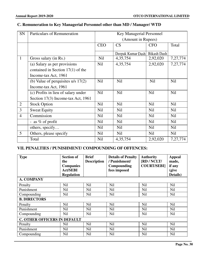## **C. Remuneration to Key Managerial Personnel other than MD / Manager/ WTD**

| SN             | Particulars of Remuneration                                                                 | Key Managerial Personnel |                    |                    |            |  |
|----------------|---------------------------------------------------------------------------------------------|--------------------------|--------------------|--------------------|------------|--|
|                |                                                                                             |                          | (Amount in Rupees) |                    |            |  |
|                |                                                                                             | <b>CEO</b>               | <b>CS</b>          | <b>CFO</b>         | Total      |  |
|                |                                                                                             |                          | Deepak Kumar Dash  | <b>Bikash Dash</b> |            |  |
| $\mathbf{1}$   | Gross salary (in Rs.)                                                                       | <b>Nil</b>               | 4,35,754           | 2,92,020           | 7,27,774   |  |
|                | (a) Salary as per provisions<br>contained in Section $17(1)$ of the<br>Income-tax Act, 1961 | Nil                      | 4,35,754           | 2,92,020           | 7,27,774   |  |
|                | (b) Value of perquisites $u/s$ 17(2)<br>Income-tax Act, 1961                                | <b>Nil</b>               | <b>Nil</b>         | <b>Nil</b>         | <b>Nil</b> |  |
|                | (c) Profits in lieu of salary under<br>Section 17(3) Income-tax Act, 1961                   | Nil                      | Nil                | Nil                | <b>Nil</b> |  |
| $\overline{2}$ | <b>Stock Option</b>                                                                         | <b>Nil</b>               | <b>Nil</b>         | <b>Nil</b>         | <b>Nil</b> |  |
| 3              | <b>Sweat Equity</b>                                                                         | <b>Nil</b>               | <b>Nil</b>         | <b>Nil</b>         | <b>Nil</b> |  |
| $\overline{4}$ | Commission                                                                                  | <b>Nil</b>               | <b>Nil</b>         | <b>Nil</b>         | <b>Nil</b> |  |
|                | - as % of profit                                                                            | <b>Nil</b>               | <b>Nil</b>         | Nil                | <b>Nil</b> |  |
|                | others, specify                                                                             | <b>Nil</b>               | <b>Nil</b>         | Nil                | <b>Nil</b> |  |
| 5              | Others, please specify                                                                      | <b>Nil</b>               | <b>Nil</b>         | <b>Nil</b>         | <b>Nil</b> |  |
|                | Total                                                                                       | <b>Nil</b>               | 4,35,754           | 2,92,020           | 7,27,774   |  |

## **VII. PENALTIES / PUNISHMENT/ COMPOUNDING OF OFFENCES:**

| <b>Type</b>                  | <b>Section of</b><br>the | <b>Brief</b><br><b>Description</b> | <b>Details of Penalty</b><br>/ Punishment/ | <b>Authority</b><br>[RD / NCLT/ | <b>Appeal</b><br>made, |
|------------------------------|--------------------------|------------------------------------|--------------------------------------------|---------------------------------|------------------------|
|                              | <b>Companies</b>         |                                    | Compounding                                | <b>COURT/SEBI1</b>              | if any                 |
|                              | <b>Act/SEBI</b>          |                                    | fees imposed                               |                                 | (give                  |
|                              | <b>Regulation</b>        |                                    |                                            |                                 | Details)               |
| A. COMPANY                   |                          |                                    |                                            |                                 |                        |
| Penalty                      | Nil                      | Nil                                | Nil                                        | Nil                             | Nil                    |
| Punishment                   | Nil                      | Nil                                | Nil                                        | Nil                             | Nil                    |
| Compounding                  | Nil                      | Nil                                | Nil                                        | Nil                             | Nil                    |
| <b>B. DIRECTORS</b>          |                          |                                    |                                            |                                 |                        |
| Penalty                      | Nil                      | <b>Nil</b>                         | Nil                                        | Nil                             | Nil                    |
| Punishment                   | Nil                      | Nil                                | Nil                                        | Nil                             | Nil                    |
| Compounding                  | Nil                      | Nil                                | Nil                                        | Nil                             | Nil                    |
| C. OTHER OFFICERS IN DEFAULT |                          |                                    |                                            |                                 |                        |
| Penalty                      | Nil                      | Nil                                | Nil                                        | Nil                             | Nil                    |
| Punishment                   | Nil                      | Nil                                | Nil                                        | Nil                             | Nil                    |
| Compounding                  | Nil                      | Nil                                | Nil                                        | Nil                             | Nil                    |
|                              |                          |                                    |                                            |                                 |                        |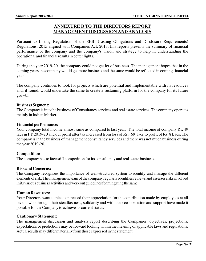## **ANNEXURE B TO THE DIRECTORS REPORT MANAGEMENT DISCUSSION AND ANALYSIS**

Pursuant to Listing Regulation of the SEBI (Listing Obligations and Disclosure Requirements) Regulations, 2015 aligned with Companies Act, 2013, this reports presents the summary of financial performance of the company and the company's vision and strategy to help in understanding the operational and financial results in better lights.

During the year 2019-20, the company could not get lot of business. The management hopes that in the coming years the company would get more business and the same would be reflected in coming financial year.

The company continues to look for projects which are potential and implementable with its resources and, if found, would undertake the same to create a sustaining platform for the company for its future growth.

#### **Business Segment:**

The Company is into the business of Consultancy services and real estate services. The company operates mainly in Indian Market.

#### **Financial performance:**

Your company total income almost same as compared to last year. The total income of company Rs. 49 lacs in FY 2019-20 and our profit after tax increased from loss of Rs. (69) lacs to profit of Rs. 8 Lacs. The company is in the business of management consultancy services and there was not much business during the year 2019-20.

#### **Competition:**

The company has to face stiff competition for its consultancy and real estate business.

#### **Risk and Concerns:**

The Company recognizes the importance of well-structured system to identify and manage the different elements of risk. The management team of the company regularly identifies reviews and assesses risks involved in its various business activities and work out guidelines for mitigating the same.

#### **Human Resources:**

Your Directors want to place on record their appreciation for the contribution made by employees at all levels, who through their steadfastness, solidarity and with their co-operation and support have made it possible for the Company to achieve its current status.

#### **Cautionary Statement:**

The management discussion and analysis report describing the Companies' objectives, projections, expectations or predictions may be forward looking within the meaning of applicable laws and regulations. Actual results may differ materially from those expressed in the statement.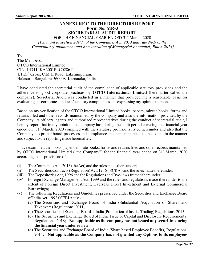#### **ANNEXURE C TO THE DIRECTORS REPORT Form No. MR-3 SECRETARIAL AUDIT REPORT**

FOR THE FINANCIAL YEAR ENDED 31<sup>st</sup> March, 2020 *[Pursuant to section 204(1) of the Companies Act, 2013 and rule No.9 of the Companies (Appointment and Remuneration of Managerial Personnel) Rules, 2014]*

To,

The Members, OTCO International Limited, CIN: L17114KA2001PLC028611  $1/1,21$ <sup>st</sup> Cross, C.M.H Road, Lakshmipuram, Halasuru, Bangalore-560008, Karnataka, India.

I have conducted the secretarial audit of the compliance of applicable statutory provisions and the adherence to good corporate practices by **OTCO International Limited** (hereinafter called the company). Secretarial Audit was conducted in a manner that provided me a reasonable basis for evaluating the corporate conducts/statutory compliances and expressing my opinion thereon.

Based on my verification of the OTCO International Limited books, papers, minute books, forms and returns filed and other records maintained by the company and also the information provided by the Company, its officers, agents and authorized representatives during the conduct of secretarial audit, I hereby report that in my opinion, the company has, during the audit period covering the financial year ended on 31<sup>st</sup> March, 2020 complied with the statutory provisions listed hereunder and also that the Company has proper board-processes and compliance-mechanism in place to the extent, in the manner and subject to the reporting made hereinafter:

I have examined the books, papers, minute books, forms and returns filed and other records maintained by OTCO International Limited ("the Company") for the financial year ended on 31<sup>st</sup> March, 2020 according to the provisions of:

- (i) The Companies Act, 2013 (the Act) and the rules made there under;
- (ii) The Securities Contracts (Regulation) Act, 1956 ('SCRA') and the rules made thereunder;
- (iii) The Depositories Act, 1996 and the Regulations and Bye-laws framed thereunder;
- (iv) Foreign Exchange Management Act, 1999 and the rules and regulations made thereunder to the extent of Foreign Direct Investment, Overseas Direct Investment and External Commercial Borrowings;
- (v) The following Regulations and Guidelines prescribed under the Securities and Exchange Board of India Act, 1992 ('SEBI Act'): -
	- (a) The Securities and Exchange Board of India (Substantial Acquisition of Shares and Takeovers) Regulations, 2011;
	- (b) The Securities and Exchange Board of India (Prohibition of Insider Trading) Regulations, 2015;
	- (c) The Securities and Exchange Board of India (Issue of Capital and Disclosure Requirements) Regulations, 2018; - **Not applicable as the company has not issued any securities during the financial year under review**.
	- (d) The Securities and Exchange Board of India (Share based Employee Benefits) Regulations, 2014; - **Not applicable as the Company has not granted any Options to its employees**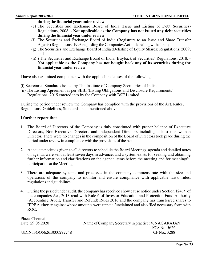#### **during the financial year under review**;

- (e) The Securities and Exchange Board of India (Issue and Listing of Debt Securities) Regulations, 2008; - **Not applicable as the Company has not issued any debt securities during the financial year under review**;
- (f) The Securities and Exchange Board of India (Registrars to an Issue and Share Transfer Agents) Regulations, 1993 regarding the Companies Act and dealing with client;
- (g) The Securities and Exchange Board of India (Delisting of Equity Shares) Regulations, 2009; and
- (h) ) The Securities and Exchange Board of India (Buyback of Securities) Regulations, 2018; **Not applicable as the Company has not bought back any of its securities during the financial year under review**.

I have also examined compliance with the applicable clauses of the following:

- (i) Secretarial Standards issued by The Institute of Company Secretaries of India.
- (ii) The Listing Agreement as per SEBI (Listing Obligations and Disclosure Requirements)

Regulations, 2015 entered into by the Company with BSE Limited,

During the period under review the Company has complied with the provisions of the Act, Rules, Regulations, Guidelines, Standards, etc. mentioned above.

#### **I further report that**

- 1. The Board of Directors of the Company is duly constituted with proper balance of Executive Directors, Non-Executive Directors and Independent Directors including atleast one woman Director. There were no changes in the composition of the Board of Directors took place during the period under review in compliance with the provisions of the Act.
- 2. Adequate notice is given to all directors to schedule the Board Meetings, agenda and detailed notes on agenda were sent at least seven days in advance, and a system exists for seeking and obtaining further information and clarifications on the agenda items before the meeting and for meaningful participation at the Meeting.
- 3. There are adequate systems and processes in the company commensurate with the size and operations of the company to monitor and ensure compliance with applicable laws, rules, regulations and guidelines.
- 4. During the period under audit, the company has received show cause notice under Section 124(7) of the companies Act, 2013 read with Rule 6 of Investor Education and Protection Fund Authority (Accounting, Audit, Transfer and Refund) Rules 2016 and the company has transferred shares to IEPF Authority against whose amounts were unpaid /unclaimed and also filed necessary form with ROC.

Place: Chennai<br>Date: 29.05.2020

Name of Company Secretary in practice: V. NAGARAJAN FCS No. 5626 UDIN: FOO5626B000292748 CP No.: 3288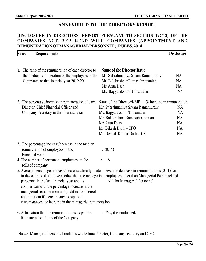## **ANNEXURE D TO THE DIRECTORS REPORT**

## **DISCLOSURE IN DIRECTORS' REPORT PURSUANT TO SECTION 197(12) OF THE COMPANIES ACT, 2013 READ WITH COMPANIES (APPOINTMENT AND REMUNERATION OF MANAGERIAL PERSONNEL), RULES, 2014**

| Sr no<br><b>Requirements</b>                                                                                                                                                                                                                                                                                                                                                                                                                                                     |                                   | <b>Disclosure</b>          |
|----------------------------------------------------------------------------------------------------------------------------------------------------------------------------------------------------------------------------------------------------------------------------------------------------------------------------------------------------------------------------------------------------------------------------------------------------------------------------------|-----------------------------------|----------------------------|
|                                                                                                                                                                                                                                                                                                                                                                                                                                                                                  |                                   |                            |
| 1. The ratio of the remuneration of each director to                                                                                                                                                                                                                                                                                                                                                                                                                             | <b>Name of the Director Ratio</b> |                            |
| the median remuneration of the employees of the                                                                                                                                                                                                                                                                                                                                                                                                                                  | Mr. Subrahmaniya Sivam Ramamurthy | NA                         |
| Company for the financial year 2019-20                                                                                                                                                                                                                                                                                                                                                                                                                                           | Mr. BalakrishnanRamasubramanian   | <b>NA</b>                  |
|                                                                                                                                                                                                                                                                                                                                                                                                                                                                                  | Mr. Arun Dash                     | <b>NA</b>                  |
|                                                                                                                                                                                                                                                                                                                                                                                                                                                                                  | Ms. Bagyalakshmi Thirumalai       | 0.97                       |
| 2. The percentage increase in remuneration of each Name of the Director/KMP                                                                                                                                                                                                                                                                                                                                                                                                      |                                   | % Increase in remuneration |
| Director, Chief Financial Officer and                                                                                                                                                                                                                                                                                                                                                                                                                                            | Mr. Subrahmaniya Sivam Ramamurthy | <b>NA</b>                  |
| Company Secretary in the financial year                                                                                                                                                                                                                                                                                                                                                                                                                                          | Ms. Bagyalakshmi Thirumalai       | <b>NA</b>                  |
|                                                                                                                                                                                                                                                                                                                                                                                                                                                                                  | Mr. BalakrishnanRamasubramanian   | NA                         |
|                                                                                                                                                                                                                                                                                                                                                                                                                                                                                  | Mr. Arun Dash                     | <b>NA</b>                  |
|                                                                                                                                                                                                                                                                                                                                                                                                                                                                                  | Mr. Bikash Dash - CFO             | <b>NA</b>                  |
|                                                                                                                                                                                                                                                                                                                                                                                                                                                                                  | Mr. Deepak Kumar Dash - CS        | <b>NA</b>                  |
| 3. The percentage increase/decrease in the median                                                                                                                                                                                                                                                                                                                                                                                                                                |                                   |                            |
| remuneration of employees in the<br>Financial year                                                                                                                                                                                                                                                                                                                                                                                                                               | (0.15)                            |                            |
| 4. The number of permanent employees on the<br>rolls of company.                                                                                                                                                                                                                                                                                                                                                                                                                 | 8                                 |                            |
| 5. Average percentage increase/ decrease already made: Average decrease in remuneration is (0.11) for<br>in the salaries of employees other than the managerial employees other than Managerial Personnel and<br>personnel in the last financial year and its<br>comparison with the percentage increase in the<br>managerial remuneration and justification thereof<br>and point out if there are any exceptional<br>circumstances for increase in the managerial remuneration. | NIL for Managerial Personnel      |                            |
| 6. Affirmation that the remuneration is as per the<br>Remuneration Policy of the Company                                                                                                                                                                                                                                                                                                                                                                                         | : Yes, it is confirmed.           |                            |

Notes: Managerial Personnel includes whole time Director, Company secretary and CFO.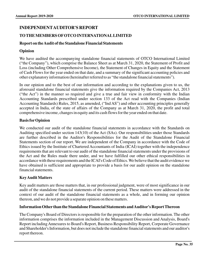## **INDEPENDENT AUDITOR'S REPORT**

#### **TO THE MEMBERS OF OTCO INTERNATIONAL LIMITED**

#### **Report on the Audit of the Standalone Financial Statements**

#### **Opinion**

We have audited the accompanying standalone financial statements of OTCO International Limited ("the Company"), which comprise the Balance Sheet as at March 31, 2020, the Statement of Profit and Loss (including Other Comprehensive Income), the Statement of Changes in Equity and the Statement of Cash Flows for the year ended on that date, and a summary of the significant accounting policies and other explanatory information (hereinafter referred to as "the standalone financial statements").

In our opinion and to the best of our information and according to the explanations given to us, the aforesaid standalone financial statements give the information required by the Companies Act, 2013 ("the Act") in the manner so required and give a true and fair view in conformity with the Indian Accounting Standards prescribed under section 133 of the Act read with the Companies (Indian Accounting Standards) Rules, 2015, as amended, ("Ind AS") and other accounting principles generally accepted in India, of the state of affairs of the Company as at March 31, 2020, the profit and total comprehensive income, changes in equity and its cash flows for the year ended on that date.

#### **Basis for Opinion**

We conducted our audit of the standalone financial statements in accordance with the Standards on Auditing specified under section 143(10) of the Act (SAs). Our responsibilities under those Standards are further described in the Auditor's Responsibilities for the Audit of the Standalone Financial Statements section of our report. We are independent of the Company in accordance with the Code of Ethics issued by the Institute of Chartered Accountants of India (ICAI) together with the independence requirements that are relevant to our audit of the standalone financial statements under the provisions of the Act and the Rules made there under, and we have fulfilled our other ethical responsibilities in accordance with these requirements and the ICAI's Code of Ethics. We believe that the audit evidence we have obtained is sufficient and appropriate to provide a basis for our audit opinion on the standalone financial statements.

#### **Key Audit Matters**

Key audit matters are those matters that, in our professional judgment, were of most significance in our audit of the standalone financial statements of the current period. These matters were addressed in the context of our audit of the standalone financial statements as a whole, and in forming our opinion thereon, and we do not provide a separate opinion on these matters.

#### **Information Other than the Standalone Financial Statements and Auditor's Report Thereon**

The Company's Board of Directors is responsible for the preparation of the other information. The other information comprises the information included in the Management Discussion and Analysis, Board's Report including Annexures to Board's Report, Business Responsibility Report, Corporate Governance and Shareholder's Information, but does not include the standalone financial statements and our auditor's report thereon.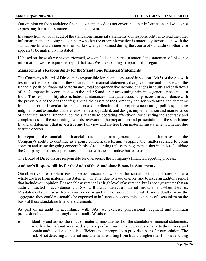Our opinion on the standalone financial statements does not cover the other information and we do not express any form of assurance conclusion thereon.

In connection with our audit of the standalone financial statements, our responsibility is to read the other information and, in doing so, consider whether the other information is materially inconsistent with the standalone financial statements or our knowledge obtained during the course of our audit or otherwise appears to be materially misstated.

If, based on the work we have performed, we conclude that there is a material misstatement of this other information, we are required to report that fact. We have nothing to report in this regard.

#### **Management's Responsibility for the Standalone Financial Statements**

The Company's Board of Directors is responsible for the matters stated in section 134(5) of the Act with respect to the preparation of these standalone financial statements that give a true and fair view of the financial position, financial performance, total comprehensive income, changes in equity and cash flows of the Company in accordance with the Ind AS and other accounting principles generally accepted in India. This responsibility also includes maintenance of adequate accounting records in accordance with the provisions of the Act for safeguarding the assets of the Company and for preventing and detecting frauds and other irregularities; selection and application of appropriate accounting policies; making judgments and estimates that are reasonable and prudent; and design, implementation and maintenance of adequate internal financial controls, that were operating effectively for ensuring the accuracy and completeness of the accounting records, relevant to the preparation and presentation of the standalone financial statements that give a true and fair view and are free from material misstatement, whether due to fraud or error.

In preparing the standalone financial statements, management is responsible for assessing the Company's ability to continue as a going concern, disclosing, as applicable, matters related to going concern and using the going concern basis of accounting unless management either intends to liquidate the Company or to cease operations, or has no realistic alternative but to do so.

The Board of Directors are responsible for overseeing the Company's financial reporting process.

#### **Auditor's Responsibilities for the Audit of the Standalone Financial Statements**

Our objectives are to obtain reasonable assurance about whether the standalone financial statements as a whole are free from material misstatement, whether due to fraud or error, and to issue an auditor's report that includes our opinion. Reasonable assurance is a high level of assurance, but is not a guarantee that an audit conducted in accordance with SAs will always detect a material misstatement when it exists. Misstatements can arise from fraud or error and are considered material if, individually or in the aggregate, they could reasonably be expected to influence the economic decisions of users taken on the basis of these standalone financial statements.

As part of an audit in accordance with SAs, we exercise professional judgment and maintain professional scepticism throughout the audit. We also:

<sup>l</sup>Identify and assess the risks of material misstatement of the standalone financial statements, whether due to fraud or error, design and perform audit procedures responsive to those risks, and obtain audit evidence that is sufficient and appropriate to provide a basis for our opinion. The risk of not detecting a material misstatement resulting from fraud is higher than for one resulting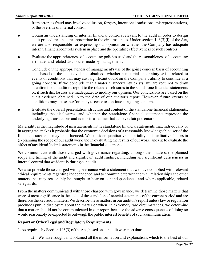from error, as fraud may involve collusion, forgery, intentional omissions, misrepresentations, or the override of internal control.

- <sup>l</sup>Obtain an understanding of internal financial controls relevant to the audit in order to design audit procedures that are appropriate in the circumstances. Under section 143(3)(i) of the Act, we are also responsible for expressing our opinion on whether the Company has adequate internal financial controls system in place and the operating effectiveness of such controls.
- <sup>l</sup>Evaluate the appropriateness of accounting policies used and the reasonableness of accounting estimates and related disclosures made by management.
- <sup>l</sup>Conclude on the appropriateness of management's use of the going concern basis of accounting and, based on the audit evidence obtained, whether a material uncertainty exists related to events or conditions that may cast significant doubt on the Company's ability to continue as a going concern. If we conclude that a material uncertainty exists, we are required to draw attention in our auditor's report to the related disclosures in the standalone financial statements or, if such disclosures are inadequate, to modify our opinion. Our conclusions are based on the audit evidence obtained up to the date of our auditor's report. However, future events or conditions may cause the Company to cease to continue as a going concern.
- <sup>l</sup>Evaluate the overall presentation, structure and content of the standalone financial statements, including the disclosures, and whether the standalone financial statements represent the underlying transactions and events in a manner that achieves fair presentation.

Materiality is the magnitude of misstatements in the standalone financial statements that, individually or in aggregate, makes it probable that the economic decisions of a reasonably knowledgeable user of the financial statements may be influenced. We consider quantitative materiality and qualitative factors in (i) planning the scope of our audit work and in evaluating the results of our work; and (ii) to evaluate the effect of any identified misstatements in the financial statements.

We communicate with those charged with governance regarding, among other matters, the planned scope and timing of the audit and significant audit findings, including any significant deficiencies in internal control that we identify during our audit.

We also provide those charged with governance with a statement that we have complied with relevant ethical requirements regarding independence, and to communicate with them all relationships and other matters that may reasonably be thought to bear on our independence, and where applicable, related safeguards.

From the matters communicated with those charged with governance, we determine those matters that were of most significance in the audit of the standalone financial statements of the current period and are therefore the key audit matters. We describe these matters in our auditor's report unless law or regulation precludes public disclosure about the matter or when, in extremely rare circumstances, we determine that a matter should not be communicated in our report because the adverse consequences of doing so would reasonably be expected to outweigh the public interest benefits of such communication.

#### **Report on Other Legal and Regulatory Requirements**

1. As required by Section 143(3) of the Act, based on our audit we report that:

a) We have sought and obtained all the information and explanations which to the best of our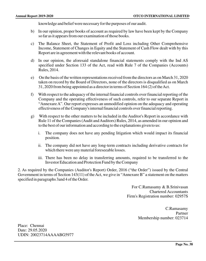knowledge and belief were necessary for the purposes of our audit.

- b) In our opinion, proper books of account as required by law have been kept by the Company so far as it appears from our examination of those books.
- c) The Balance Sheet, the Statement of Profit and Loss including Other Comprehensive Income, Statement of Changes in Equity and the Statement of Cash Flow dealt with by this Report are in agreement with the relevant books of account.
- d) In our opinion, the aforesaid standalone financial statements comply with the Ind AS specified under Section 133 of the Act, read with Rule 7 of the Companies (Accounts) Rules, 2014.
- e) On the basis of the written representations received from the directors as on March 31, 2020 taken on record by the Board of Directors, none of the directors is disqualified as on March 31, 2020 from being appointed as a director in terms of Section 164 (2) of the Act.
- f) With respect to the adequacy of the internal financial controls over financial reporting of the Company and the operating effectiveness of such controls, refer to our separate Report in "Annexure A". Our report expresses an unmodified opinion on the adequacy and operating effectiveness of the Company's internal financial controls over financial reporting.
- g) With respect to the other matters to be included in the Auditor's Report in accordance with Rule 11 of the Companies (Audit and Auditors) Rules, 2014, as amended in our opinion and to the best of our information and according to the explanations given to us:
	- i. The company does not have any pending litigation which would impact its financial position.
	- ii. The company did not have any long-term contracts including derivative contracts for which there were any material foreseeable losses.
	- iii. There has been no delay in transferring amounts, required to be transferred to the Investor Education and Protection Fund by the Company

2. As required by the Companies (Auditor's Report) Order, 2016 ("the Order") issued by the Central Government in terms of Section 143(11) of the Act, we give in "Annexure B" a statement on the matters specified in paragraphs 3and 4 of the Order.

> For C.Ramasamy & B.Srinivasan Chartered Accountants Firm's Registration number: 02957S

> > C.Ramasamy Partner Membership number: 023714

Place: Chennai Date: 29.05.2020 UDIN: 20023714AAAABG5977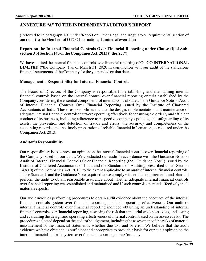### **ANNEXURE "A" TO THE INDEPENDENT AUDITOR'S REPORT**

(Referred to in paragraph 1(f) under 'Report on Other Legal and Regulatory Requirements' section of our report to the Members of OTCO International Limited of even date)

#### **Report on the Internal Financial Controls Over Financial Reporting under Clause (i) of Subsection 3 of Section 143 of the Companies Act, 2013 ("the Act")**

We have audited the internal financial controls over financial reporting of **OTCO INTERNATIONAL LIMITED** ("the Company") as of March 31, 2020 in conjunction with our audit of the standalone financial statements of the Company for the year ended on that date.

#### **Management's Responsibility for Internal Financial Controls**

The Board of Directors of the Company is responsible for establishing and maintaining internal financial controls based on the internal control over financial reporting criteria established by the Company considering the essential components of internal control stated in the Guidance Note on Audit of Internal Financial Controls Over Financial Reporting issued by the Institute of Chartered Accountants of India. These responsibilities include the design, implementation and maintenance of adequate internal financial controls that were operating effectively for ensuring the orderly and efficient conduct of its business, including adherence to respective company's policies, the safeguarding of its assets, the prevention and detection of frauds and errors, the accuracy and completeness of the accounting records, and the timely preparation of reliable financial information, as required under the Companies Act, 2013.

#### **Auditor's Responsibility**

Our responsibility is to express an opinion on the internal financial controls over financial reporting of the Company based on our audit. We conducted our audit in accordance with the Guidance Note on Audit of Internal Financial Controls Over Financial Reporting (the "Guidance Note") issued by the Institute of Chartered Accountants of India and the Standards on Auditing prescribed under Section 143(10) of the Companies Act, 2013, to the extent applicable to an audit of internal financial controls. Those Standards and the Guidance Note require that we comply with ethical requirements and plan and perform the audit to obtain reasonable assurance about whether adequate internal financial controls over financial reporting was established and maintained and if such controls operated effectively in all material respects.

Our audit involves performing procedures to obtain audit evidence about the adequacy of the internal financial controls system over financial reporting and their operating effectiveness. Our audit of internal financial controls over financial reporting included obtaining an understanding of internal financial controls over financial reporting, assessing the risk that a material weakness exists, and testing and evaluating the design and operating effectiveness of internal control based on the assessed risk. The procedures selected depend on the auditor's judgement, including the assessment of the risks of material misstatement of the financial statements, whether due to fraud or error. We believe that the audit evidence we have obtained, is sufficient and appropriate to provide a basis for our audit opinion on the internal financial controls system over financial reporting of the Company.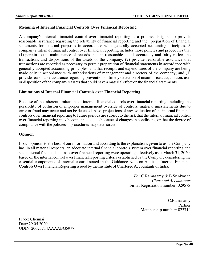#### **Meaning of Internal Financial Controls Over Financial Reporting**

A company's internal financial control over financial reporting is a process designed to provide reasonable assurance regarding the reliability of financial reporting and the preparation of financial statements for external purposes in accordance with generally accepted accounting principles. A company's internal financial control over financial reporting includes those policies and procedures that (1) pertain to the maintenance of records that, in reasonable detail, accurately and fairly reflect the transactions and dispositions of the assets of the company; (2) provide reasonable assurance that transactions are recorded as necessary to permit preparation of financial statements in accordance with generally accepted accounting principles, and that receipts and expenditures of the company are being made only in accordance with authorisations of management and directors of the company; and (3) provide reasonable assurance regarding prevention or timely detection of unauthorised acquisition, use, or disposition of the company's assets that could have a material effect on the financial statements.

#### **Limitations of Internal Financial Controls over Financial Reporting**

Because of the inherent limitations of internal financial controls over financial reporting, including the possibility of collusion or improper management override of controls, material misstatements due to error or fraud may occur and not be detected. Also, projections of any evaluation of the internal financial controls over financial reporting to future periods are subject to the risk that the internal financial control over financial reporting may become inadequate because of changes in conditions, or that the degree of compliance with the policies or procedures may deteriorate.

#### **Opinion**

In our opinion, to the best of our information and according to the explanations given to us, the Company has, in all material respects, an adequate internal financial controls system over financial reporting and such internal financial controls over financial reporting were operating effectively as at March 31, 2020, based on the internal control over financial reporting criteria established by the Company considering the essential components of internal control stated in the Guidance Note on Audit of Internal Financial Controls Over Financial Reporting issued by the Institute of Chartered Accountants of India.

> *For* C.Ramasamy & B.Srinivasan *Chartered Accountants* Firm's Registration number: 02957S

> > C.Ramasamy Partner Membership number: 023714

Place: Chennai Date: 29.05.2020 UDIN: 20023714AAAABG5977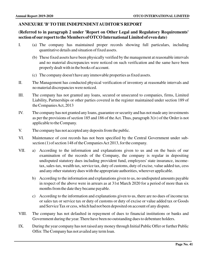#### **ANNEXURE 'B' TO THE INDEPENDENT AUDITOR'S REPORT**

### **(Referred to in paragraph 2 under 'Report on Other Legal and Regulatory Requirements' section of our report to the Members of OTCO International Limited of even date)**

- I. (a) The company has maintained proper records showing full particulars, including quantitative details and situation of fixed assets.
	- (b) These fixed assets have been physically verified by the management at reasonable intervals and no material discrepancies were noticed on such verification and the same have been properly dealt with in the books of account.
	- (c) The company doesn't have any immovable properties as fixed assets.
- II. The Management has conducted physical verification of inventory at reasonable intervals and no material discrepancies were noticed.
- III. The company has not granted any loans, secured or unsecured to companies, firms, Limited Liability, Partnerships or other parties covered in the register maintained under section 189 of the Companies Act, 2013
- IV. The company has not granted any loans, guarantee or security and has not made any investments as per the provisions of section 185 and 186 of the Act. Thus, paragraph 3(iv) of the Order is not applicable to the Company.
- V. The company has not accepted any deposits from the public.
- VI. Maintenance of cost records has not been specified by the Central Government under subsection (1) of section 148 of the Companies Act 2013, for the company.
- VII. a) According to the information and explanations given to us and on the basis of our examination of the records of the Company, the company is regular in depositing undisputed statutory dues including provident fund, employees' state insurance, incometax, sales-tax, wealth tax, service tax, duty of customs, duty of excise, value added tax, cess and any other statutory dues with the appropriate authorities, wherever applicable.
	- b) According to the information and explanations given to us, no undisputed amounts payable in respect of the above were in arrears as at 31st March 2020 for a period of more than six months from the date they became payable.
	- c) According to the information and explanations given to us, there are no dues of income tax or sales tax or service tax or duty of customs or duty of excise or value added tax or Goods and Service Tax or cess, which had not been deposited on account of any dispute.
- VIII. The company has not defaulted in repayment of dues to financial institutions or banks and Government during the year. There have been no outstanding dues to debenture holders.
- IX. During the year company has not raised any money through Initial Public Offer or further Public Offer. The Company has not availed any term loan.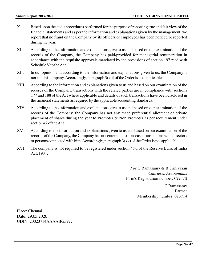- X. Based upon the audit procedures performed for the purpose of reporting true and fair view of the financial statements and as per the information and explanations given by the management, we report that no fraud on the Company by its officers or employees has been noticed or reported during the year.
- XI. According to the information and explanations give to us and based on our examination of the records of the Company, the Company has paid/provided for managerial remuneration in accordance with the requisite approvals mandated by the provisions of section 197 read with Schedule V to the Act.
- XII. In our opinion and according to the information and explanations given to us, the Company is not a nidhi company. Accordingly, paragraph 3(xii) of the Order is not applicable.
- XIII. According to the information and explanations given to us and based on our examination of the records of the Company, transactions with the related parties are in compliance with sections 177 and 188 of the Act where applicable and details of such transactions have been disclosed in the financial statements as required by the applicable accounting standards.
- XIV. According to the information and explanations give to us and based on our examination of the records of the Company, the Company has not any made preferential allotment or private placement of shares during the year to Promoter  $\&$  Non Promoter as per requirement under section 42 of the Act .
- XV. According to the information and explanations given to us and based on our examination of the records of the Company, the Company has not entered into non-cash transactions with directors or persons connected with him. Accordingly, paragraph 3(xv) of the Order is not applicable.
- XVI. The company is not required to be registered under section 45-I of the Reserve Bank of India Act, 1934.

*For* C.Ramasamy & B.Srinivasan *Chartered Accountants* Firm's Registration number: 02957S

> C.Ramasamy Partner Membership number: 023714

Place: Chennai Date: 29.05.2020 UDIN: 20023714AAAABG5977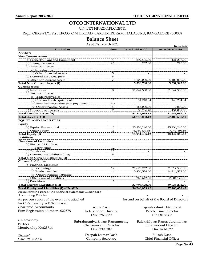CIN:L17114KA2001PLC028611

Regd. Office:#1/1, 21st CROSS, C.M.H.ROAD, LAKSHMIPURAM, HALASURU, BANGALORE - 560008

## **Balance Sheet**

As at 31st March 2020

| Particulars                                               |                                             | <b>Note</b>             | As at 31-Mar -20         | III Kupees<br>As at 31-Mar-19               |  |  |
|-----------------------------------------------------------|---------------------------------------------|-------------------------|--------------------------|---------------------------------------------|--|--|
| <b>ASSETS</b>                                             |                                             |                         |                          |                                             |  |  |
| <b>Non Current Assets</b>                                 |                                             |                         |                          |                                             |  |  |
| (a) Property, Plant and Equipment                         |                                             | $\overline{\mathbf{4}}$ | 299,536.00               | 431,237.00                                  |  |  |
|                                                           |                                             | 4.1                     | 262.00                   | 710.00                                      |  |  |
| (b) Intangible assets<br>(d) Financial Assets             |                                             |                         |                          |                                             |  |  |
| (i) Investments                                           |                                             |                         |                          |                                             |  |  |
| (ii) Other financial Assets                               |                                             | 5                       | $\overline{\phantom{0}}$ |                                             |  |  |
| (e) Deferred tax assets (net)                             |                                             | 6                       |                          |                                             |  |  |
| (f) Other non-current assets                              |                                             | 7                       | 5,100,000.00             | 5,100,000.00                                |  |  |
| <b>Total Non Current Assets (I)</b>                       |                                             |                         | 5,399,798.00             | 5,531,947.00                                |  |  |
| <b>Current assets</b>                                     |                                             |                         |                          |                                             |  |  |
| (a) Inventories                                           |                                             | 8                       | 51,047,508.00            | 51,047,508.00                               |  |  |
| (b) Financial Assets                                      |                                             |                         |                          |                                             |  |  |
| (i) Trade receivables                                     |                                             |                         |                          |                                             |  |  |
| (ii) Cash and cash equivalents                            |                                             | 9.1                     | 54,240.34                | 140,294.34                                  |  |  |
| (iii) Bank balances other than (iii) above                |                                             | 9.2                     |                          |                                             |  |  |
| (iv) Other financial Assets                               |                                             | 5                       | 165,000.00               | 9,800.00                                    |  |  |
| (c) Other current assets                                  |                                             | 7                       | 80,286.78                | 451,089.08                                  |  |  |
| <b>Total Current Assets (II)</b>                          |                                             |                         | 51,347,035.12            | 51,648,691.42                               |  |  |
| Total Assets (I+II)                                       |                                             |                         | 56,746,833.12            | 57,180,638.42                               |  |  |
| <b>EQUITY AND LIABILITIES</b>                             |                                             |                         |                          |                                             |  |  |
| Equity                                                    |                                             |                         |                          |                                             |  |  |
| (a) Equity Share capital                                  |                                             | 10                      | 25,936,240.00            | 25,936,240.00                               |  |  |
| (b) Other Equity                                          |                                             | 11                      | (6,984,834.88)           | (7,793,893.58)                              |  |  |
| <b>Total Equity (I)</b>                                   |                                             |                         | 18,951,405.12            | 18, 142, 346. 42                            |  |  |
| Liabilities                                               |                                             |                         |                          |                                             |  |  |
| <b>Non Current Liabilities</b>                            |                                             |                         |                          |                                             |  |  |
| (a) Financial Liabilities                                 |                                             |                         |                          |                                             |  |  |
| (i) Borrowings                                            |                                             | 12                      |                          |                                             |  |  |
| (b) Provisions                                            |                                             | 13                      | $\overline{\phantom{a}}$ | $\overline{\phantom{a}}$                    |  |  |
| (c) Deferred tax liabilities (Net)                        |                                             | 6                       | $\overline{a}$           |                                             |  |  |
| <b>Total Non Current Liabilities (II)</b>                 |                                             |                         | $\overline{\phantom{0}}$ | $\overline{\phantom{0}}$                    |  |  |
| <b>Current Liabilities</b>                                |                                             |                         |                          |                                             |  |  |
| (a) Financial Liabilities                                 |                                             |                         |                          |                                             |  |  |
| (i) Borrowings                                            |                                             | 12                      | 21,675,262.00            | 21,517,538.00                               |  |  |
| (ii) Trade payables                                       |                                             | 14                      | 15,856,524.00            | 14,716,579.00                               |  |  |
| (iii) Other financial liabilities                         |                                             |                         |                          |                                             |  |  |
| (b) Other current liabilities                             |                                             | 15                      | 263,642.00               | 2,804,175.00                                |  |  |
| (c) Provisions                                            |                                             | 13                      |                          |                                             |  |  |
| <b>Total Current Liabilities (III)</b>                    |                                             |                         | 37,795,428.00            | 39,038,292.00                               |  |  |
| Total Equity and Liabilities (I)+(II)+(III)               |                                             |                         | 56,746,833.12            | 57,180,638.42                               |  |  |
| Notes forming part of the financial statements & standard |                                             |                         |                          |                                             |  |  |
| <b>Accounting Policies</b>                                |                                             |                         |                          |                                             |  |  |
| As per our report of the even date attached               |                                             |                         |                          | for and on behalf of the Board of Directors |  |  |
| for C.Ramasamy & B.Srinivasan                             |                                             |                         |                          |                                             |  |  |
|                                                           |                                             |                         |                          |                                             |  |  |
| <b>Chartered Accountants</b>                              | Arun Dash                                   |                         |                          | Bagyalakshmi Thirumalai                     |  |  |
| Firm Registraion Number: 02957S                           | <b>Independent Director</b><br>Din:07972670 |                         |                          | <b>Whole Time Director</b><br>Din:08186335  |  |  |
| C.Ramasamy                                                |                                             |                         |                          |                                             |  |  |
| Partner                                                   | Subrahmaniya Sivam Ramamurthy               |                         |                          | Balakrishnan Ramasubramanian                |  |  |
|                                                           | Chairman and Director                       |                         |                          | <b>Independent Director</b>                 |  |  |
| Membership No:23714                                       | Din:02393209                                |                         |                          | Din:07661622                                |  |  |
| Chennai                                                   | Deepak Kumar Dash                           |                         |                          | Bikash Dash                                 |  |  |
| Date: 29.05.2020                                          | Company Secretary                           |                         |                          | Chief Financial Officer                     |  |  |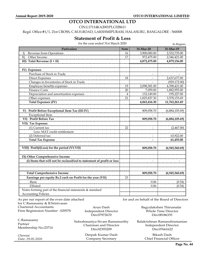CIN:L17114KA2001PLC028611

Regd. Office:#1/1, 21st CROSS, C.M.H.ROAD, LAKSHMIPURAM, HALASURU, BANGALORE - 560008

### **Statement of Profit & Loss**

for the year ended 31st March 2020

| TOT THE VEHI CHUCU 9131 IVIDICII 2020                                  |                |                | In Rupees      |
|------------------------------------------------------------------------|----------------|----------------|----------------|
| Particulars                                                            | <b>Note</b>    | 31-Mar-20      | 31-Mar-19      |
| Revenue from Operations<br>$\bf{I}$                                    | 16             | 3,900,000.00   | 2,532,735.00   |
| Other Income<br>II)                                                    | 17             | 972,475.00     | 2,346,421.00   |
| III) Total Revenue $(I + II)$                                          |                | 4,872,475.00   | 4,879,156.00   |
|                                                                        |                |                |                |
| IV) Expenses                                                           |                |                |                |
| Purchase of Stock in Trade                                             |                |                |                |
| <b>Direct Expenses</b>                                                 | 18             |                | 2,637,677.00   |
| Changes in Inventories of Stock in Trade                               |                |                | (929, 172.00)  |
| Employee benefits expenses                                             | 19             | 2,098,381.00   | 4,398,421.00   |
| <b>Finance Costs</b>                                                   | 20             | 7,059.00       | 1,882,955.00   |
| Depreciation and amortization expenses                                 | $\overline{4}$ | 132,149.00     | 195,227.00     |
| Other expenses                                                         | 21             | 1,825,827.30   | 3,578,153.69   |
| <b>Total Expenses (IV)</b>                                             |                | 4,063,416.30   | 11,763,261.69  |
|                                                                        |                |                |                |
| Profit Before Exceptional Item Tax (III-IV)<br>V)                      |                | 809,058.70     | (6,884,105.69) |
| <b>Exceptional Item</b>                                                |                |                |                |
| VI) Profit Before Tax                                                  |                | 809,058.70     | (6,884,105.69) |
| VII) Tax Expense:                                                      |                |                |                |
| (1) Current tax                                                        | 22             | $\overline{a}$ | (2,467.00)     |
| Less: MAT credit entitlement                                           |                |                |                |
| (2) Deferred tax                                                       |                |                | 63,922.00      |
| <b>Total Tax Expense</b>                                               |                |                | 61,455.00      |
|                                                                        |                |                |                |
| VIII) Profit/(Loss) for the period (VI-VII)                            |                | 809,058.70     | (6,945,560.69) |
|                                                                        |                |                |                |
| IX) Other Comprehensive Income                                         |                |                |                |
| (i) Items that will not be reclassified to statement of profit or loss |                | $\overline{a}$ |                |
|                                                                        |                |                |                |
|                                                                        |                |                |                |
| <b>Total Comprehensive Income</b>                                      |                | 809,058.70     | (6,945,560.69) |
| Earnings per equity Rs.2 each on Profit for the year (VII)             | 23             |                |                |
| -Basic                                                                 |                | 0.06           | (0.54)         |
| -Diluted                                                               |                | 0.06           | (0.54)         |
| Notes forming part of the financial statements & standard              |                |                |                |
| <b>Accounting Policies</b>                                             |                |                |                |

As per our report of the even date attached for C.Ramasamy & B.Srinivasan

Chartered Accountants Firm Registraion Number : 02957S

Arun Dash Independent Director Din:07972670

C.Ramasamy Partner Membership No:23714

*Chennai Date: 29.05.2020* Subrahmaniya Sivam Ramamurthy Chairman and Director Din:02393209

> Deepak Kumar Dash Company Secretary

for and on behalf of the Board of Directors

Bagyalakshmi Thirumalai Whole Time Director Din:08186335

Balakrishnan Ramasubramanian Independent Director Din:07661622

> Bikash Dash Chief Financial Officer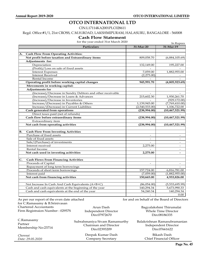CIN:L17114KA2001PLC028611

Regd. Office:#1/1, 21st CROSS, C.M.H.ROAD, LAKSHMIPURAM, HALASURU, BANGALORE - 560008

#### **Cash Flow Statement** for the year ended 31st March 2020

| 31-Mar-19<br><b>Particulars</b><br>31-Mar-20<br><b>Cash Flow From Operating Activities:</b><br>А.<br>Net profit before taxation and Extraordinary items<br>809,058.70<br><b>Adjustments</b> for:<br>Depreciation<br>132,149.00<br>(Profit)/Loss on sale of fixed assets<br><b>Interest Expenses</b><br>7,059.00<br><b>Interest Received</b><br>(2,275.00)<br>Rental Income<br>Operating profit before working capital changes<br>945,991.70<br>Movements in working capital:<br><b>Adjustments for</b><br>(Increase)/Decrease in Sundry Debtors and other receivable<br>(Increase)/Decrease in Loans & Advances<br>215,602.30<br>(Increase)/Decrease in Inventories<br>Increase/(Decrease) in Payables & Others<br>1,139,945.00<br>Increase/(Decrease) in Current Liabilites<br>(2,540,533.00)<br>Cash generated from operations<br>(238,994.00)<br>Direct taxes paid (net of refunds)<br>Cash flow before extraordinary items<br>(238,994.00)<br>Extraordinary item<br>Net cash from operating activities<br>(238,994.00)<br><b>Cash Flow From Investing Activities</b><br>В.<br>Purchase of fixed assets<br>$\overline{\phantom{a}}$<br>۰<br>Sale of fixed assets<br>$\sim$<br>$\overline{\phantom{a}}$<br>Sale/(Purchase) of investments<br>Interest received<br>2,275.00<br>Rental Income<br>Net cash used in investing acitivities<br>2,275.00<br>C.<br><b>Cash Flows From Financing Activities</b><br>Proceeds of Capital<br>$\overline{\phantom{a}}$<br>Repayment of long term borrowings<br>Proceeds of short term borrowings<br>157,724.00<br>Interest paid<br>(7,059.00)<br>Net cash from financing activities<br>150,665.00<br>Net Increase In Cash And Cash Equivalents (A+B+C)<br>(86,054.00)<br>Cash and cash equivalents at the beginning of the year<br>140,294.34 | for the year ended 31st March 2020               |           | In Rupees         |
|------------------------------------------------------------------------------------------------------------------------------------------------------------------------------------------------------------------------------------------------------------------------------------------------------------------------------------------------------------------------------------------------------------------------------------------------------------------------------------------------------------------------------------------------------------------------------------------------------------------------------------------------------------------------------------------------------------------------------------------------------------------------------------------------------------------------------------------------------------------------------------------------------------------------------------------------------------------------------------------------------------------------------------------------------------------------------------------------------------------------------------------------------------------------------------------------------------------------------------------------------------------------------------------------------------------------------------------------------------------------------------------------------------------------------------------------------------------------------------------------------------------------------------------------------------------------------------------------------------------------------------------------------------------------------------------------------------------------------------------------------------------------------------|--------------------------------------------------|-----------|-------------------|
|                                                                                                                                                                                                                                                                                                                                                                                                                                                                                                                                                                                                                                                                                                                                                                                                                                                                                                                                                                                                                                                                                                                                                                                                                                                                                                                                                                                                                                                                                                                                                                                                                                                                                                                                                                                    |                                                  |           |                   |
|                                                                                                                                                                                                                                                                                                                                                                                                                                                                                                                                                                                                                                                                                                                                                                                                                                                                                                                                                                                                                                                                                                                                                                                                                                                                                                                                                                                                                                                                                                                                                                                                                                                                                                                                                                                    |                                                  |           |                   |
|                                                                                                                                                                                                                                                                                                                                                                                                                                                                                                                                                                                                                                                                                                                                                                                                                                                                                                                                                                                                                                                                                                                                                                                                                                                                                                                                                                                                                                                                                                                                                                                                                                                                                                                                                                                    |                                                  |           |                   |
|                                                                                                                                                                                                                                                                                                                                                                                                                                                                                                                                                                                                                                                                                                                                                                                                                                                                                                                                                                                                                                                                                                                                                                                                                                                                                                                                                                                                                                                                                                                                                                                                                                                                                                                                                                                    |                                                  |           | (6,884,105.69)    |
|                                                                                                                                                                                                                                                                                                                                                                                                                                                                                                                                                                                                                                                                                                                                                                                                                                                                                                                                                                                                                                                                                                                                                                                                                                                                                                                                                                                                                                                                                                                                                                                                                                                                                                                                                                                    |                                                  |           |                   |
|                                                                                                                                                                                                                                                                                                                                                                                                                                                                                                                                                                                                                                                                                                                                                                                                                                                                                                                                                                                                                                                                                                                                                                                                                                                                                                                                                                                                                                                                                                                                                                                                                                                                                                                                                                                    |                                                  |           | 195,227.00        |
|                                                                                                                                                                                                                                                                                                                                                                                                                                                                                                                                                                                                                                                                                                                                                                                                                                                                                                                                                                                                                                                                                                                                                                                                                                                                                                                                                                                                                                                                                                                                                                                                                                                                                                                                                                                    |                                                  |           |                   |
|                                                                                                                                                                                                                                                                                                                                                                                                                                                                                                                                                                                                                                                                                                                                                                                                                                                                                                                                                                                                                                                                                                                                                                                                                                                                                                                                                                                                                                                                                                                                                                                                                                                                                                                                                                                    |                                                  |           | 1,882,955.00      |
|                                                                                                                                                                                                                                                                                                                                                                                                                                                                                                                                                                                                                                                                                                                                                                                                                                                                                                                                                                                                                                                                                                                                                                                                                                                                                                                                                                                                                                                                                                                                                                                                                                                                                                                                                                                    |                                                  |           |                   |
|                                                                                                                                                                                                                                                                                                                                                                                                                                                                                                                                                                                                                                                                                                                                                                                                                                                                                                                                                                                                                                                                                                                                                                                                                                                                                                                                                                                                                                                                                                                                                                                                                                                                                                                                                                                    |                                                  |           |                   |
|                                                                                                                                                                                                                                                                                                                                                                                                                                                                                                                                                                                                                                                                                                                                                                                                                                                                                                                                                                                                                                                                                                                                                                                                                                                                                                                                                                                                                                                                                                                                                                                                                                                                                                                                                                                    |                                                  |           | (4,805,923.69)    |
|                                                                                                                                                                                                                                                                                                                                                                                                                                                                                                                                                                                                                                                                                                                                                                                                                                                                                                                                                                                                                                                                                                                                                                                                                                                                                                                                                                                                                                                                                                                                                                                                                                                                                                                                                                                    |                                                  |           |                   |
|                                                                                                                                                                                                                                                                                                                                                                                                                                                                                                                                                                                                                                                                                                                                                                                                                                                                                                                                                                                                                                                                                                                                                                                                                                                                                                                                                                                                                                                                                                                                                                                                                                                                                                                                                                                    |                                                  |           |                   |
|                                                                                                                                                                                                                                                                                                                                                                                                                                                                                                                                                                                                                                                                                                                                                                                                                                                                                                                                                                                                                                                                                                                                                                                                                                                                                                                                                                                                                                                                                                                                                                                                                                                                                                                                                                                    |                                                  |           |                   |
|                                                                                                                                                                                                                                                                                                                                                                                                                                                                                                                                                                                                                                                                                                                                                                                                                                                                                                                                                                                                                                                                                                                                                                                                                                                                                                                                                                                                                                                                                                                                                                                                                                                                                                                                                                                    |                                                  |           | 1,930,261.70      |
|                                                                                                                                                                                                                                                                                                                                                                                                                                                                                                                                                                                                                                                                                                                                                                                                                                                                                                                                                                                                                                                                                                                                                                                                                                                                                                                                                                                                                                                                                                                                                                                                                                                                                                                                                                                    |                                                  |           | (929, 172.00)     |
|                                                                                                                                                                                                                                                                                                                                                                                                                                                                                                                                                                                                                                                                                                                                                                                                                                                                                                                                                                                                                                                                                                                                                                                                                                                                                                                                                                                                                                                                                                                                                                                                                                                                                                                                                                                    |                                                  |           | (7,769,410.00)    |
|                                                                                                                                                                                                                                                                                                                                                                                                                                                                                                                                                                                                                                                                                                                                                                                                                                                                                                                                                                                                                                                                                                                                                                                                                                                                                                                                                                                                                                                                                                                                                                                                                                                                                                                                                                                    |                                                  |           | 1,106,722.00      |
|                                                                                                                                                                                                                                                                                                                                                                                                                                                                                                                                                                                                                                                                                                                                                                                                                                                                                                                                                                                                                                                                                                                                                                                                                                                                                                                                                                                                                                                                                                                                                                                                                                                                                                                                                                                    |                                                  |           | (10, 467, 521.99) |
|                                                                                                                                                                                                                                                                                                                                                                                                                                                                                                                                                                                                                                                                                                                                                                                                                                                                                                                                                                                                                                                                                                                                                                                                                                                                                                                                                                                                                                                                                                                                                                                                                                                                                                                                                                                    |                                                  |           |                   |
|                                                                                                                                                                                                                                                                                                                                                                                                                                                                                                                                                                                                                                                                                                                                                                                                                                                                                                                                                                                                                                                                                                                                                                                                                                                                                                                                                                                                                                                                                                                                                                                                                                                                                                                                                                                    |                                                  |           | (10,467,521.99)   |
|                                                                                                                                                                                                                                                                                                                                                                                                                                                                                                                                                                                                                                                                                                                                                                                                                                                                                                                                                                                                                                                                                                                                                                                                                                                                                                                                                                                                                                                                                                                                                                                                                                                                                                                                                                                    |                                                  |           |                   |
|                                                                                                                                                                                                                                                                                                                                                                                                                                                                                                                                                                                                                                                                                                                                                                                                                                                                                                                                                                                                                                                                                                                                                                                                                                                                                                                                                                                                                                                                                                                                                                                                                                                                                                                                                                                    |                                                  |           | (10, 467, 521.99) |
|                                                                                                                                                                                                                                                                                                                                                                                                                                                                                                                                                                                                                                                                                                                                                                                                                                                                                                                                                                                                                                                                                                                                                                                                                                                                                                                                                                                                                                                                                                                                                                                                                                                                                                                                                                                    |                                                  |           |                   |
|                                                                                                                                                                                                                                                                                                                                                                                                                                                                                                                                                                                                                                                                                                                                                                                                                                                                                                                                                                                                                                                                                                                                                                                                                                                                                                                                                                                                                                                                                                                                                                                                                                                                                                                                                                                    |                                                  |           |                   |
|                                                                                                                                                                                                                                                                                                                                                                                                                                                                                                                                                                                                                                                                                                                                                                                                                                                                                                                                                                                                                                                                                                                                                                                                                                                                                                                                                                                                                                                                                                                                                                                                                                                                                                                                                                                    |                                                  |           |                   |
|                                                                                                                                                                                                                                                                                                                                                                                                                                                                                                                                                                                                                                                                                                                                                                                                                                                                                                                                                                                                                                                                                                                                                                                                                                                                                                                                                                                                                                                                                                                                                                                                                                                                                                                                                                                    |                                                  |           |                   |
|                                                                                                                                                                                                                                                                                                                                                                                                                                                                                                                                                                                                                                                                                                                                                                                                                                                                                                                                                                                                                                                                                                                                                                                                                                                                                                                                                                                                                                                                                                                                                                                                                                                                                                                                                                                    |                                                  |           |                   |
|                                                                                                                                                                                                                                                                                                                                                                                                                                                                                                                                                                                                                                                                                                                                                                                                                                                                                                                                                                                                                                                                                                                                                                                                                                                                                                                                                                                                                                                                                                                                                                                                                                                                                                                                                                                    |                                                  |           |                   |
|                                                                                                                                                                                                                                                                                                                                                                                                                                                                                                                                                                                                                                                                                                                                                                                                                                                                                                                                                                                                                                                                                                                                                                                                                                                                                                                                                                                                                                                                                                                                                                                                                                                                                                                                                                                    |                                                  |           |                   |
|                                                                                                                                                                                                                                                                                                                                                                                                                                                                                                                                                                                                                                                                                                                                                                                                                                                                                                                                                                                                                                                                                                                                                                                                                                                                                                                                                                                                                                                                                                                                                                                                                                                                                                                                                                                    |                                                  |           |                   |
|                                                                                                                                                                                                                                                                                                                                                                                                                                                                                                                                                                                                                                                                                                                                                                                                                                                                                                                                                                                                                                                                                                                                                                                                                                                                                                                                                                                                                                                                                                                                                                                                                                                                                                                                                                                    |                                                  |           |                   |
|                                                                                                                                                                                                                                                                                                                                                                                                                                                                                                                                                                                                                                                                                                                                                                                                                                                                                                                                                                                                                                                                                                                                                                                                                                                                                                                                                                                                                                                                                                                                                                                                                                                                                                                                                                                    |                                                  |           |                   |
|                                                                                                                                                                                                                                                                                                                                                                                                                                                                                                                                                                                                                                                                                                                                                                                                                                                                                                                                                                                                                                                                                                                                                                                                                                                                                                                                                                                                                                                                                                                                                                                                                                                                                                                                                                                    |                                                  |           |                   |
|                                                                                                                                                                                                                                                                                                                                                                                                                                                                                                                                                                                                                                                                                                                                                                                                                                                                                                                                                                                                                                                                                                                                                                                                                                                                                                                                                                                                                                                                                                                                                                                                                                                                                                                                                                                    |                                                  |           |                   |
|                                                                                                                                                                                                                                                                                                                                                                                                                                                                                                                                                                                                                                                                                                                                                                                                                                                                                                                                                                                                                                                                                                                                                                                                                                                                                                                                                                                                                                                                                                                                                                                                                                                                                                                                                                                    |                                                  |           | 6,816,781.00      |
|                                                                                                                                                                                                                                                                                                                                                                                                                                                                                                                                                                                                                                                                                                                                                                                                                                                                                                                                                                                                                                                                                                                                                                                                                                                                                                                                                                                                                                                                                                                                                                                                                                                                                                                                                                                    |                                                  |           | (1,882,955.00)    |
|                                                                                                                                                                                                                                                                                                                                                                                                                                                                                                                                                                                                                                                                                                                                                                                                                                                                                                                                                                                                                                                                                                                                                                                                                                                                                                                                                                                                                                                                                                                                                                                                                                                                                                                                                                                    |                                                  |           | 4,933,826.00      |
|                                                                                                                                                                                                                                                                                                                                                                                                                                                                                                                                                                                                                                                                                                                                                                                                                                                                                                                                                                                                                                                                                                                                                                                                                                                                                                                                                                                                                                                                                                                                                                                                                                                                                                                                                                                    |                                                  |           |                   |
|                                                                                                                                                                                                                                                                                                                                                                                                                                                                                                                                                                                                                                                                                                                                                                                                                                                                                                                                                                                                                                                                                                                                                                                                                                                                                                                                                                                                                                                                                                                                                                                                                                                                                                                                                                                    |                                                  |           | (5,533,695.99)    |
|                                                                                                                                                                                                                                                                                                                                                                                                                                                                                                                                                                                                                                                                                                                                                                                                                                                                                                                                                                                                                                                                                                                                                                                                                                                                                                                                                                                                                                                                                                                                                                                                                                                                                                                                                                                    |                                                  |           | 5,673,990.33      |
|                                                                                                                                                                                                                                                                                                                                                                                                                                                                                                                                                                                                                                                                                                                                                                                                                                                                                                                                                                                                                                                                                                                                                                                                                                                                                                                                                                                                                                                                                                                                                                                                                                                                                                                                                                                    | Cash and cash equivalents at the end of the year | 54,240.34 | 140,294.34        |
| $\overline{\phantom{a}}$                                                                                                                                                                                                                                                                                                                                                                                                                                                                                                                                                                                                                                                                                                                                                                                                                                                                                                                                                                                                                                                                                                                                                                                                                                                                                                                                                                                                                                                                                                                                                                                                                                                                                                                                                           |                                                  |           | 0.00              |

As per our report of the even date attached for C.Ramasamy & B.Srinivasan Chartered Accountants Firm Registraion Number : 02957S

C.Ramasamy Partner Membership No:23714

*Chennai Date: 29.05.2020*

Arun Dash Independent Director Din:07972670

Subrahmaniya Sivam Ramamurthy Chairman and Director Din:02393209

> Deepak Kumar Dash Company Secretary

for and on behalf of the Board of Directors

 Bagyalakshmi Thirumalai Din:08186335 Whole Time Director

 Balakrishnan Ramasubramanian Independent Director Din:07661622

> Bikash Dash Chief Financial Officer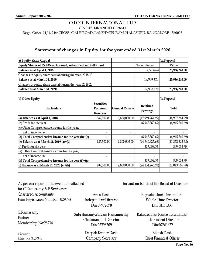CIN:L17114KA2001PLC028611

Regd. Office: #1/1, 21st CROSS, C.MH.ROAD, LAKSHMIPURAM, HALASURU, BANGALORE - 560008

## Statement of changes in Equity for the year ended 31st March 2020

| a) Equity Share Capital                                         |                                                 |                        |                      | (In Rupees)       |
|-----------------------------------------------------------------|-------------------------------------------------|------------------------|----------------------|-------------------|
| Equity Shares of Rs.10/- each issued, subscribed and fully paid |                                                 |                        | No. of Shares        | Value             |
| Balance as at April 1, 2018                                     |                                                 |                        | 2,593,624            | 25,936,240.00     |
| Changes in equity share capital during the year, 2018-19        |                                                 |                        |                      |                   |
| Balance as at March 31, 2019                                    |                                                 |                        | 12,968,120           | 25,936,240.00     |
| Changes in equity share capital during the year, 2019-20        |                                                 |                        |                      |                   |
| Balance as at March 31, 2020                                    |                                                 |                        | 12,968,120           | 25,936,240.00     |
|                                                                 |                                                 |                        |                      |                   |
| b) Other Equity                                                 |                                                 |                        |                      | (In Rupees)       |
| <b>Particulars</b>                                              | <b>Securities</b><br>Premium<br><b>Reserves</b> | <b>General Reserve</b> | Retained<br>Earnings | Total             |
| (a) Balance as at April 1, 2018                                 | 287,500.00                                      | 2,800,000.00           | (17,994,764.99)      | (14,907,264.99)   |
| (b) Profit for the year                                         |                                                 |                        | (6,945,560.69)       | (6,945,560.69)    |
| (c) Other Comprehensive income for the year,                    |                                                 |                        |                      |                   |
| net of income tax                                               |                                                 |                        |                      |                   |
| (d) Total Comprehensive income for the year $(b)+(c)$           |                                                 |                        | (6,945,560.69)       | (6,945,560.69)    |
| (e) Balance as at March 31, 2019 (a)+(d)                        | 287,500.00                                      | 2,800,000.00           | (24, 940, 325.68)    | (21, 852, 825.68) |
| (f) Profit for the year                                         |                                                 |                        | 809,058.70           | 809,058.70        |
| (g) Other Comprehensive income for the year,                    |                                                 |                        |                      |                   |
| net of income tax                                               |                                                 |                        |                      |                   |
| (h) Total Comprehensive income for the year $(f)+(g)$           |                                                 |                        | 809,058.70           | 809,058.70        |
| (i) Balance as at March 31, 2020 (e)+(h)                        | 287,500.00                                      | 2,800,000.00           | (24, 131, 266, 98)   | (21,043,766.98)   |

As per our report of the even date attached for C.Ramasamy & B.Srinivasan **Chartered Accountants** Firm Registraion Number: 02957S

C.Ramasamy Partner Membership No:23714

Chennai Date: 29.05.2020

Arun Dash Independent Director Din:07972670

Subrahmaniya Sivam Ramamurthy Chairman and Director Din:02393209

> Deepak Kumar Dash Company Secretary

for and on behalf of the Board of Directors

Bagyalakshmi Thirumalai **Whole Time Director** Din:08186335

Balakrishnan Ramasubramanian Independent Director Din:07661622

> **Bikash Dash Chief Financial Officer**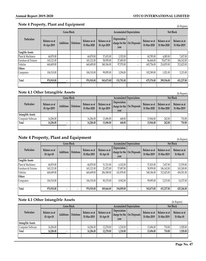### **Note 4 Property, Plant and Equipment**

|                        |                                     | <b>Gross Block</b> |                  |                                     |                              | <b>Accumulated Depreciaitons</b> |                               |                                     |                                     | <b>Net Block</b>             |
|------------------------|-------------------------------------|--------------------|------------------|-------------------------------------|------------------------------|----------------------------------|-------------------------------|-------------------------------------|-------------------------------------|------------------------------|
| <b>Particulars</b>     | <b>Balance</b> as at<br>01-Apr-2019 | <b>Additions</b>   | <b>Deletions</b> | <b>Balance</b> as at<br>31-Mar-2020 | Balance as at<br>01-Apr-2019 | Depreciation<br>year             | charge for the   On Disposals | <b>Balance</b> as at<br>31-Mar-2020 | <b>Balance as at</b><br>31-Mar-2020 | Balance as at<br>31-Mar-2019 |
| <b>Tangible Assets</b> |                                     |                    |                  |                                     |                              |                                  |                               |                                     |                                     |                              |
| Plant & Machinery      | 44,870.00                           |                    |                  | 44,870.00                           | 37,433.00                    | 3,352.00                         | -                             | 40.785.00                           | 4,085.00                            | 7,437.00                     |
| Furniture & Fixtures   | 165,121.00                          |                    |                  | 165,121.00                          | 58,959.00                    | 27,485.00                        |                               | 86,444.00                           | 78,677.00                           | 106,162.00                   |
| Vehicles               | 660,609.00                          |                    |                  | 660,609.00                          | 348,186.00                   | 97,570.00                        | -                             | 445,756.00                          | 214,853.00                          | 312,423.00                   |
| <b>Others</b>          |                                     |                    |                  |                                     |                              |                                  |                               |                                     |                                     |                              |
| Computers              | 104,310.00                          |                    |                  | 104,310.00                          | 99,095.00                    | 3,294.00                         | -                             | 102,389.00                          | 1,921.00                            | 5,215.00                     |
|                        |                                     |                    |                  |                                     |                              |                                  |                               |                                     |                                     |                              |
| Total                  | 974,910.00                          |                    | ٠                | 974.910.00                          | 543,673,00                   | 131.701.00                       | ٠                             | 675.374.00                          | 299,536.00                          | 431,237.00                   |
|                        |                                     |                    |                  |                                     |                              |                                  |                               |                                     |                                     |                              |

## **Note 4.1 Other Intangible Assets** (In Rupees) (In Rupees)

|                          |                              | <b>Gross Block</b> |                  |                              |                              |                                                     | <b>Accumulated Depreciaitons</b> |                              | <b>Net Block</b>             |                              |
|--------------------------|------------------------------|--------------------|------------------|------------------------------|------------------------------|-----------------------------------------------------|----------------------------------|------------------------------|------------------------------|------------------------------|
| Particulars              | Balance as at<br>01-Apr-2019 | <b>Additions</b>   | <b>Deletions</b> | Balance as at<br>31-Mar-2020 | Balance as at<br>01-Apr-2019 | Depreciation<br>charge for the On Disposals<br>vear |                                  | Balance as at<br>31-Mar-2020 | Balance as at<br>31-Mar-2020 | Balance as at<br>31-Mar-2019 |
| <b>Intangible Assets</b> |                              |                    |                  |                              |                              |                                                     |                                  |                              |                              |                              |
| Computer Software        | 14,206.00                    |                    |                  | 14,206.00                    | 13,496.00                    | 448.00                                              |                                  | 13,944.00                    | 262.00                       | 710.00                       |
| Total                    | 14,206.00                    |                    |                  | 14.206.00                    | 13,496.00                    | 448.00                                              |                                  | 13,944.00                    | 262.00                       | 710.00                       |
|                          |                              |                    |                  |                              |                              |                                                     |                                  |                              |                              |                              |

## **Note 4 Property, Plant and Equipment** (In Rupees) **(In Rupees)**

|                        | <b>Gross Block</b>                |           |                  |                                     |                                     | <b>Accumulated Depreciaitons</b> |                               | <b>Net Block</b>                    |                                     |                                   |
|------------------------|-----------------------------------|-----------|------------------|-------------------------------------|-------------------------------------|----------------------------------|-------------------------------|-------------------------------------|-------------------------------------|-----------------------------------|
| Particulars            | <b>Balance</b> as at<br>01-Apr-18 | Additions | <b>Deletions</b> | <b>Balance</b> as at<br>31-Mar-2019 | <b>Balance</b> as at<br>$01-Apr-18$ | Depreciation<br>vear             | charge for the   On Disposals | <b>Balance as at</b><br>31-Mar-2019 | <b>Balance</b> as at<br>31-Mar-2019 | <b>Balance</b> as at<br>31-Mar-18 |
| <b>Tangible Assets</b> |                                   |           |                  |                                     |                                     |                                  |                               |                                     |                                     |                                   |
| Plant & Machinery      | 44,870.00                         |           |                  | 44,870.00                           | 31,331.00                           | 6,102.00                         |                               | 37,433,00                           | 7.437.00                            | 13,539.00                         |
| Furniture & Fixtures   | 165,121.00                        |           |                  | 165,121.00                          | 21,872.00                           | 37,087.00                        | ٠                             | 58,959.00                           | 106,162.00                          | 143,249.00                        |
| Vehicles               | 660,609.00                        |           |                  | 660,609.00                          | 206,308.00                          | 141,878.00                       | $\overline{a}$                | 348,186,00                          | 312,423.00                          | 454,301.00                        |
| <b>Others</b>          |                                   |           |                  |                                     |                                     |                                  |                               |                                     |                                     |                                   |
| Computers              | 104,310.00                        |           |                  | 104,310.00                          | 90,153.00                           | 8,942.00                         | ۰                             | 99,095,00                           | 5,215.00                            | 14,157.00                         |
| Total                  | 974,910.00                        |           | $\sim$           | 974.910.00                          | 349,664.00                          | 194,009.00                       | $\overline{\phantom{0}}$      | 543,673,00                          | 431.237.00                          | 625,246.00                        |

## **Note 4.1 Other Intangible Assets** (In Rupees) (In Rupees)

| <b>NOTE 4.1 OTHER INTERIOR ASSETS</b><br>(In Rupees) |                                   |                    |           |                              |                                     |                                                     |                                  |                              |                              |                            |
|------------------------------------------------------|-----------------------------------|--------------------|-----------|------------------------------|-------------------------------------|-----------------------------------------------------|----------------------------------|------------------------------|------------------------------|----------------------------|
|                                                      |                                   | <b>Gross Block</b> |           |                              |                                     |                                                     | <b>Accumulated Depreciaitons</b> |                              |                              | Net Block                  |
| Particulars                                          | <b>Balance as at</b><br>01-Apr-18 | <b>Additions</b>   | Deletions | Balance as at<br>31-Mar-2019 | <b>Balance</b> as at<br>$01-Apr-18$ | Depreciation<br>charge for the On Disposals<br>vear |                                  | Balance as at<br>31-Mar-2019 | Balance as at<br>31-Mar-2019 | Balance as at<br>31-Mar-18 |
| <b>Intangible Assets</b>                             |                                   |                    |           |                              |                                     |                                                     |                                  |                              |                              |                            |
| Computer Software                                    | 14,206.00                         |                    |           | 14,206.00                    | 12,278.00                           | 1,218.00                                            |                                  | 13,496.00                    | 710.00                       | 1,928.00                   |
| Total                                                | 14,206.00                         |                    | ۰         | 14.206.00                    | 12.278.00                           | 1,218.00                                            |                                  | 13,496.00                    | 710.00                       | 1,928.00                   |
|                                                      |                                   |                    |           |                              |                                     |                                                     |                                  |                              |                              |                            |

(In Rupees)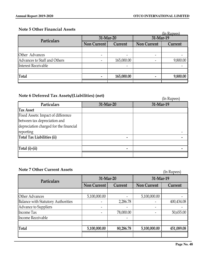## **Note 5 Other Financial Assets**

|                              |                    |            |                    | <u>(In Rupees)</u> |  |
|------------------------------|--------------------|------------|--------------------|--------------------|--|
| Particulars                  | 31-Mar-20          |            | 31-Mar-19          |                    |  |
|                              | <b>Non Current</b> | Current    | <b>Non Current</b> | Current            |  |
|                              |                    |            |                    |                    |  |
| Other Advances               |                    |            |                    |                    |  |
| Advances to Staff and Others |                    | 165,000.00 |                    | 9,800.00           |  |
| Interest Receivable          |                    |            |                    |                    |  |
|                              |                    |            |                    |                    |  |
| <b>Total</b>                 |                    | 165,000.00 |                    | 9,800.00           |  |
|                              |                    |            |                    |                    |  |

## **Note 6 Deferred Tax Assets/(Liabilities) (net)** (In Rupees)

|                                        |           | ui nupees) |
|----------------------------------------|-----------|------------|
| Particulars                            | 31-Mar-20 | 31-Mar-19  |
| <b>Tax Asset</b>                       |           |            |
| Fixed Assets: Impact of difference     |           |            |
| between tax depreciation and           |           |            |
| depreciation charged for the financial |           |            |
| reporting                              |           |            |
| Total Tax Liabilities (ii)             |           |            |
|                                        |           |            |
| Total (i)-(ii)                         |           |            |
|                                        |           |            |

## **Note 7 Other Current Assets** (In Rupees)

| <b>Particulars</b>                        | 31-Mar-20          |           | 31-Mar-19          |            |  |
|-------------------------------------------|--------------------|-----------|--------------------|------------|--|
|                                           | <b>Non Current</b> | Current   | <b>Non Current</b> | Current    |  |
|                                           |                    |           |                    |            |  |
| Other Advances                            | 5,100,000.00       |           | 5,100,000.00       |            |  |
| <b>Balance with Statutory Authorities</b> |                    | 2,286.78  |                    | 400,434.08 |  |
| Advance to Suppliers                      |                    |           |                    |            |  |
| Income Tax                                |                    | 78,000.00 |                    | 50,655.00  |  |
| Income Receivable                         |                    |           |                    |            |  |
|                                           |                    |           |                    |            |  |
| <b>Total</b>                              | 5,100,000.00       | 80,286.78 | 5,100,000.00       | 451,089.08 |  |
|                                           |                    |           |                    |            |  |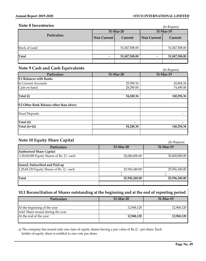#### **Note 8 Inventories** (In Rupees) (In Rupees)

|               |                    |               |                    | (III Rupees)  |  |
|---------------|--------------------|---------------|--------------------|---------------|--|
|               |                    | 31-Mar-20     | 31-Mar-19          |               |  |
| Particulars   | <b>Non Current</b> | Current       | <b>Non Current</b> | Current       |  |
|               |                    |               |                    |               |  |
| Stock of Land |                    | 51,047,508.00 |                    | 51,047,508.00 |  |
|               |                    |               |                    |               |  |
| Total         |                    | 51,047,508.00 |                    | 51,047,508.00 |  |
|               |                    |               |                    |               |  |

#### **Note 9 Cash and Cash Equivalents** (In Rupees)

|                                         |           | (          |
|-----------------------------------------|-----------|------------|
| Particulars                             | 31-Mar-20 | 31-Mar-19  |
| 9.1 Balances with Banks                 |           |            |
| In Current Accounts                     | 25,950.34 | 65,804.34  |
| Cash on hand                            | 28,290.00 | 74,490.00  |
| Total (i)                               | 54,240.34 | 140,294.34 |
| 9.2 Other Bank Balance other than above |           |            |
|                                         |           |            |
| <b>Fixed Deposits</b>                   |           |            |
| Total (ii)                              | -         |            |
| Total (i)+(ii)                          | 54,240.34 | 140,294.34 |
|                                         |           |            |

 $\overline{a}$  **Note 10 Equity Share Capital** (In Rupees) **Particulars Authorised Share Capital** 1,50,00,000 Equity Shares of Rs. 2/- each **Issued, Subscribed and Paid up**  1,29,68,120 Equity Shares of Rs. 2/- each **Total**  30,000,000.00 25,936,240.00 30,000,000.00 **25,936,240.00 25,936,240.00** 25,936,240.00  $\overline{a}$  $\overline{a}$  $\overline{a}$   $\overline{a}$ **31-Mar-20 31-Mar-19**

#### **10.1 Reconciliation of Shares outstanding at the beginning and at the end of reporting period**

| <b>Particulars</b>                | $31-Mar-20$ | $31-Mar-19$ |
|-----------------------------------|-------------|-------------|
|                                   |             |             |
| At the beginning of the year      | 12,968,120  | 12,968,120  |
| Add: Share issued during the year |             |             |
| At the end of the year            | 12.968.120  | 12,968,120  |
|                                   |             |             |

a) The company has issued only one class of equity shares having a par value of Rs.2/- per share. Each holder of equity share is entitled to one vote per share.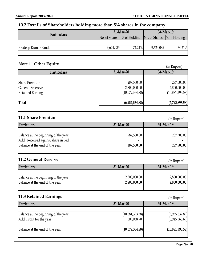## **10.2 Details of Shareholders holding more than 5% shares in the company**

| <b>Particulars</b>  | $31-Mar-20$   |                             | $31-Mar-19$ |               |
|---------------------|---------------|-----------------------------|-------------|---------------|
|                     | No. of Shares | % of Holding  No. of Shares |             | 1% of Holding |
|                     |               |                             |             |               |
| Pradeep Kumar Panda | 9,624,085     | 74.21%                      | 9,624,085   | 74.21%        |
|                     |               |                             |             |               |

## **Note 11 Other Equity** (In Rupees)

|                          |                 | (III KUDEES)    |
|--------------------------|-----------------|-----------------|
| Particulars              | 31-Mar-20       | 31-Mar-19       |
|                          |                 |                 |
| <b>Share Premium</b>     | 287,500.00      | 287,500.00      |
| <b>General Resereve</b>  | 2,800,000.00    | 2,800,000.00    |
| <b>Retained Earnings</b> | (10,072,334.88) | (10,881,393.58) |
|                          |                 |                 |
| <b>Total</b>             | (6,984,834.88)  | (7,793,893.58)  |
|                          |                 |                 |

## **11.1 Share Premium** (In Rupees)

| <b>Particulars</b>                   | $31-Mar-20$  | $31-Mar-19$  |
|--------------------------------------|--------------|--------------|
|                                      |              |              |
| Balance at the beginning of the year | 287,500.00   | 287,500.00   |
| Add: Received against share issued   |              |              |
| Balance at the end of the year       | 287,500.00   | 287,500.00   |
|                                      |              |              |
| <b>11.2 General Reserve</b>          |              | (In Rupees)  |
| <b>Particulars</b>                   | 31-Mar-20    | 31-Mar-19    |
|                                      |              |              |
| Balance at the beginning of the year | 2,800,000.00 | 2,800,000.00 |
|                                      |              |              |
| Balance at the end of the year       | 2,800,000.00 | 2,800,000.00 |

## **11.3 Retained Earnings** (In Rupees)

|                                      |                 | THI RUDEEST     |
|--------------------------------------|-----------------|-----------------|
| <b>Particulars</b>                   | 31-Mar-20       | 31-Mar-19       |
|                                      |                 |                 |
| Balance at the beginning of the year | (10,881,393.58) | (3,935,832.89)  |
| Add: Profit for the year             | 809,058.70      | (6,945,560.69)  |
|                                      |                 |                 |
| Balance at the end of the year       | (10,072,334.88) | (10,881,393.58) |
|                                      |                 |                 |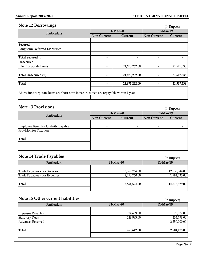## **Note 12 Borrowings** (In Rupees)

| ັ<br>$($ <i>n</i> $\ldots$ $\mu$ $\ldots$ $\mu$                                       |                    |               |                    |            |
|---------------------------------------------------------------------------------------|--------------------|---------------|--------------------|------------|
| Particulars                                                                           | 31-Mar-20          |               | 31-Mar-19          |            |
|                                                                                       | <b>Non Current</b> | Current       | <b>Non Current</b> | Current    |
|                                                                                       |                    |               |                    |            |
| Secured                                                                               |                    |               |                    |            |
| Long term Deferred Liabilities                                                        |                    |               |                    |            |
|                                                                                       |                    |               |                    |            |
| Total Secured (i)                                                                     |                    |               | -                  | -          |
| <b>Unsecured</b>                                                                      |                    |               |                    |            |
| <b>Inter Corporate Loans</b>                                                          | -                  | 21,675,262.00 | -                  | 21,517,538 |
|                                                                                       |                    |               |                    |            |
| Total Unsecured (ii)                                                                  | -                  | 21,675,262.00 |                    | 21,517,538 |
| Total                                                                                 |                    | 21,675,262.00 |                    | 21,517,538 |
|                                                                                       |                    |               |                    |            |
| Above intercorporate loans are short term in nature which are repayable within 1 year |                    |               |                    |            |
|                                                                                       |                    |               |                    |            |

## **Note 13 Provisions** (In Rupees)

|                                      |                          |                          |                          | uu isupees, |  |
|--------------------------------------|--------------------------|--------------------------|--------------------------|-------------|--|
| Particulars                          |                          | 31-Mar-20                |                          | 31-Mar-19   |  |
|                                      | Non Current              | Current                  | <b>Non Current</b>       | Current     |  |
|                                      |                          |                          |                          |             |  |
| Employee Benefits - Gratuity payable | -                        | $\overline{\phantom{0}}$ |                          |             |  |
| Provision for Taxation               | -                        | $\overline{\phantom{0}}$ |                          |             |  |
|                                      |                          |                          |                          |             |  |
| Total                                | $\overline{\phantom{0}}$ | $\overline{\phantom{0}}$ | $\overline{\phantom{0}}$ |             |  |
|                                      |                          |                          |                          |             |  |
|                                      |                          |                          |                          |             |  |

## **Note 14 Trade Payables** (In Rupees)

|                               |               | THE NUPPES <b>S</b> |
|-------------------------------|---------------|---------------------|
| Particulars                   | 31-Mar-20     | 31-Mar-19           |
|                               |               |                     |
| Trade Payables - For Services | 13,562,764.00 | 12,935,344.00       |
| Trade Payables - For Expenses | 2,293,760.00  | 1,781,235.00        |
|                               |               |                     |
| Total                         | 15,856,524.00 | 14,716,579.00       |
|                               |               |                     |

## **Note 15 Other current liabilities**

| Note 15 Other current habilities |                          | (In Rupees)  |
|----------------------------------|--------------------------|--------------|
| Particulars                      | 31-Mar-20                | 31-Mar-19    |
|                                  |                          |              |
| <b>Expenses Payables</b>         | 14,659.00                | 20,377.00    |
| <b>Statutory Dues</b>            | 248,983.00               | 233,798.00   |
| Advance Received                 | $\overline{\phantom{a}}$ | 2,550,000.00 |
|                                  |                          |              |
| Total                            | 263,642.00               | 2,804,175.00 |
|                                  |                          |              |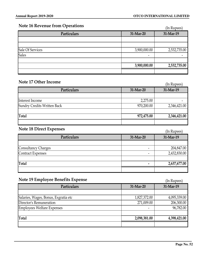## **Note 16 Revenue from Operations** (In Rupees)

|                  |              | $\cdots$     |
|------------------|--------------|--------------|
| Particulars      | 31-Mar-20    | 31-Mar-19    |
|                  |              |              |
|                  |              |              |
| Sale Of Services | 3,900,000.00 | 2,532,735.00 |
| <b>Sales</b>     | ٠            |              |
|                  |              |              |
|                  | 3,900,000.00 | 2,532,735.00 |
|                  |              |              |

## **Note 17 Other Income** (In Rupees)

|                             |            | $\mu$ wape   |
|-----------------------------|------------|--------------|
| <b>Particulars</b>          | 31-Mar-20  | 31-Mar-19    |
|                             |            |              |
| Interest Income             | 2,275.00   |              |
| Sundry Credits Written Back | 970,200.00 | 2,346,421.00 |
|                             |            |              |
| <b>Total</b>                | 972,475.00 | 2,346,421.00 |
|                             |            |              |

## **Note 18 Direct Expenses** (In Rupees)

|                            |                          | THE NUPPES   |
|----------------------------|--------------------------|--------------|
| Particulars                | 31-Mar-20                | 31-Mar-19    |
|                            |                          |              |
| <b>Consultancy Charges</b> | ٠                        | 204,847.00   |
| <b>Contract Expenses</b>   | $\overline{\phantom{0}}$ | 2,432,830.00 |
|                            |                          |              |
| <b>Total</b>               | $\overline{\phantom{0}}$ | 2,637,677.00 |
|                            |                          |              |

| Note 19 Employee Benefits Expense    |                | (In Rupees)  |
|--------------------------------------|----------------|--------------|
| Particulars                          | 31-Mar-20      | 31-Mar-19    |
|                                      |                |              |
| Salaries, Wages, Bonus, Exgratia etc | 1,827,372.00   | 4,095,339.00 |
| Director's Remuneration              | 271,009.00     | 206,300.00   |
| <b>Employees Welfare Expenses</b>    | $\overline{a}$ | 96,782.00    |
|                                      |                |              |
| Total                                | 2,098,381.00   | 4,398,421.00 |
|                                      |                |              |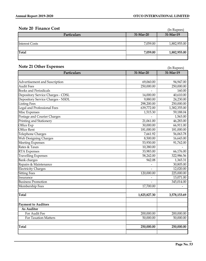| Note 20 Finance Cost |           |              |
|----------------------|-----------|--------------|
| Particulars          | 31-Mar-20 | 31-Mar-19    |
|                      |           |              |
| Interest Costs       | 7,059.00  | 1,882,955.00 |
|                      |           |              |
| Total                | 7,059.00  | 1,882,955.00 |
|                      |           |              |

| <b>Note 21 Other Expenses</b>     |              | (In Rupees)  |
|-----------------------------------|--------------|--------------|
| Particulars                       | 31-Mar-20    | 31-Mar-19    |
|                                   |              |              |
| Advertisement and Suscription     | 69,060.00    | 94,947.00    |
| <b>Audit Fees</b>                 | 250,000.00   | 250,000.00   |
| <b>Books</b> and Periodicals      |              | 160.00       |
| Depository Service Charges - CDSL | 14,000.00    | 40,610.00    |
| Depository Service Charges - NSDL | 9,880.00     | 24,230.00    |
| <b>Listing Fees</b>               | 298,200.00   | 250,000.00   |
| Legal and Professional Fees       | 639,772.00   | 1,382,355.00 |
| <b>Misc Expenses</b>              | 1,515.30     | 59,188.04    |
| Postage and Courier Charges       |              | 1,563.00     |
| Printing and Stationery           | 21,061.00    | 46,283.00    |
| Office Exp                        | 30,000.00    | 66,911.00    |
| Office Rent                       | 181,000.00   | 181,000.00   |
| Telephone Charges                 | 7,661.92     | 56,063.78    |
| Web Designing Charges             | 8,500.00     | 16,643.00    |
| <b>Meeting Expenses</b>           | 53,930.00    | 91,762.00    |
| Rates & Taxes                     | 10,380.00    |              |
| <b>RTA Expenses</b>               | 33,983.00    | 66,176.00    |
| <b>Travelling Expenses</b>        | 58,242.00    | 322,986.56   |
| <b>Bank</b> charges               | 942.08       | 1,365.31     |
| Repairs & Maintenance             |              | 30,805.00    |
| <b>Electricity Charges</b>        |              | 12,020.00    |
| <b>Sitting Fees</b>               | 120,000.00   | 225,000.00   |
| Insurance                         |              | 13,071.00    |
| <b>Business Promotion</b>         |              | 345,014.00   |
| Membership Fees                   | 17,700.00    |              |
| <b>Total</b>                      |              | 3,578,153.69 |
|                                   | 1,825,827.30 |              |
| <b>Payment to Auditors</b>        |              |              |
| As Auditor                        |              |              |
| For Audit Fee                     | 200,000.00   | 200,000.00   |
| For Taxation Matters              | 50,000.00    | 50,000.00    |
|                                   |              |              |
| <b>Total</b>                      | 250,000.00   | 250,000.00   |

## **Note 20 Finance Cost**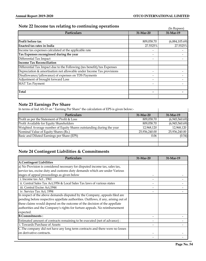$\overline{1}$ 

## **Note 22 Income tax relating to continuing operations** (In Rupees)

| Particulars                                                             | 31-Mar-20                | 31-Mar-19      |
|-------------------------------------------------------------------------|--------------------------|----------------|
|                                                                         |                          |                |
| Profit before tax                                                       | 809,058.70               | (6,884,105.69) |
| Enacted tax rates in India                                              | 27.5525%                 | 27.5525%       |
| Income tax expenses calculated at the applicable rate                   |                          |                |
| Tax Expenses reconginsed during the year                                | $\overline{\phantom{0}}$ |                |
| Differential Tax Impact                                                 |                          |                |
| <b>Income Tax Reconciliation</b>                                        |                          |                |
| Differential Tax Impact due to the Following (tax benefit)/tax Expenses |                          |                |
| Depreciation & amortisation not allowable under Income Tax provisions   |                          |                |
| Disallowance/(allowance) of expenses on TDS Payments                    |                          |                |
| Adjustment of brought forward Loss                                      |                          |                |
| <b>MAT Tax Payment</b>                                                  |                          |                |
|                                                                         |                          |                |
| Total                                                                   |                          |                |
|                                                                         |                          |                |

#### **Note 23 Earnings Per Share**

In terms of Ind AS-33 on " Earning Per Share" the calculation of EPS is given below:-

| In terms of the <i>Flo-55</i> on Elements Fer share the calculation of El 5 is given below. |               |                |
|---------------------------------------------------------------------------------------------|---------------|----------------|
| Particulars                                                                                 | 31-Mar-20     | 31-Mar-19      |
| Profit as per the Statement of Profit & Loss                                                | 809,058.70    | (6,945,560.69) |
| Profit Available for Equity Shareholders                                                    | 809,058.70    | (6,945,560.69) |
| Weighted Average number of Equity Shares outstanding during the year                        | 12,968,120    | 12,968,120     |
| Nominal Value of Equity Shares (Rs.)                                                        | 25,936,240.00 | 25,936,240.00  |
| Basic and Diluted Earnings per Share (EPS)                                                  | 0.06          | (0.54)         |
|                                                                                             |               |                |
|                                                                                             |               |                |

## **Note 24 Contingent Liabilities & Commitments**

| Particulars                                                                       | 31-Mar-20 | 31-Mar-19 |
|-----------------------------------------------------------------------------------|-----------|-----------|
| <b>A.Contingent Liabilities</b>                                                   |           |           |
| a) No Provision is considered necessary for disputed income tax, sales tax,       |           |           |
| service tax, excise duty and customs duty demands which are under Various         |           |           |
| stages of appeal proceedings as given below                                       |           |           |
| i. Income tax Act, 1961                                                           |           |           |
| ii. Central Sales Tax Act, 1956 & Local Sales Tax laws of various states          |           |           |
| iii. Central Excise Act, 1944                                                     |           |           |
| iv. Service Tax Act, 1994                                                         |           |           |
| In respect of the above demands disputed by the Company, appeals filed are        |           |           |
| pending before respective appellate authorities. Outflows, if any, arising out of |           |           |
| these claims would depend on the outcome of the decision of the appellate         |           |           |
| authorities and the Company's rights for furture appeals. No reimbursement        |           |           |
| expected.                                                                         |           |           |
| <b>B.Commitments:</b>                                                             |           |           |
| Estimated amount of contracts remaining to be executed (net of advance) :         |           |           |
| <i>i.</i> Towards Purchase of Assets                                              |           |           |
| C. The company did not have any long term contracts and there were no losses      |           |           |
| on derivative contracts.                                                          |           |           |
|                                                                                   |           |           |
|                                                                                   |           |           |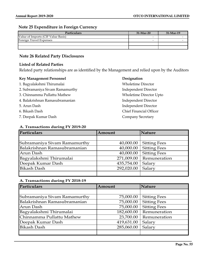#### **Note 25 Expenditure in Foreign Currency**

| Particulars                        | $31-Mar-20$              | 31-Mar-19 |
|------------------------------------|--------------------------|-----------|
| Value of Imports (CIF Value Basis) | $\overline{\phantom{0}}$ |           |
| Foreign Travel Expenses            | -                        |           |
|                                    |                          |           |
|                                    |                          |           |

#### **Note 26 Related Party Disclosures**

#### **Listed of Related Parties**

Related party relationships are as identified by the Management and relied upon by the Auditors

#### Key Management Personnel **Example 2018** Designation

- 1. Bagyalakshmi Thirumalai Wholetime Director
- 2. Subramaniya Sivam Ramamurthy Independent Director
- 3. Chinnamma Pullattu Mathew Wholetime Director Upto
- 4. Balakrishnan Ramasubramanian
- 5. Arun Dash
- 6. Bikash Dash
- 7. Deepak Kumar Dash

## **A. Transactions during FY 201**

| Particulars                       | Amount                      | <b>Nature</b>           |
|-----------------------------------|-----------------------------|-------------------------|
| A. Transactions during FY 2019-20 |                             |                         |
| 7. Deepak Kumar Dash              | Company Secretary           |                         |
| 6. Bikash Dash                    |                             | Chief Financial Officer |
| 5. Arun Dash                      | <b>Independent Director</b> |                         |
| 4. Balakrishnan Kamasubramanian   | Independent Director        |                         |

|                              | 7 71110 4111 | 114641C             |
|------------------------------|--------------|---------------------|
|                              |              |                     |
| Subramaniya Sivam Ramamurthy | 40,000.00    | <b>Sitting Fees</b> |
| Balakrishnan Ramasubramanian | 40,000.00    | <b>Sitting Fees</b> |
| Arun Dash                    | 40,000.00    | <b>Sitting Fees</b> |
| Bagyalakshmi Thirumalai      | 271,009.00   | Remuneration        |
| Deepak Kumar Dash            | 435,754.00   | Salary              |
| <b>Bikash Dash</b>           | 292,020.00   | Salary              |
|                              |              |                     |

#### **A. Transactions during FY 2018-19**

| Particulars                  | Amount     | <b>Nature</b>       |
|------------------------------|------------|---------------------|
|                              |            |                     |
| Subramaniya Sivam Ramamurthy | 75,000.00  | <b>Sitting Fees</b> |
| Balakrishnan Ramasubramanian | 75,000.00  | <b>Sitting Fees</b> |
| Arun Dash                    | 75,000.00  | <b>Sitting Fees</b> |
| Bagyalakshmi Thirumalai      | 182,600.00 | Remuneration        |
| Chinnamma Pullattu Mathew    | 23,700.00  | Remuneration        |
| Deepak Kumar Dash            | 419,631.00 | Salary              |
| <b>Bikash Dash</b>           | 285,060.00 | Salary              |
|                              |            |                     |
|                              |            |                     |

j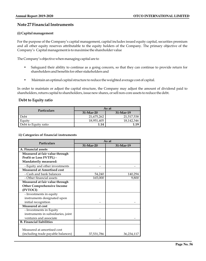#### **Note 27 Financial Instruments**

#### **(i) Capital management**

For the purpose of the Company's capital management, capital includes issued equity capital, securities premium and all other equity reserves attributable to the equity holders of the Company. The primary objective of the Company's Capital management is to maximise the shareholder value

The Company's objective when managing capital are to

- Safeguard their ability to continue as a going concern, so that they can continue to provide return for shareholders and benefits for other stakeholders and
- $\bullet$  Maintain an optimal capital structure to reduce the weighted average cost of capital.

In order to maintain or adjust the capital structure, the Company may adjust the amount of dividend paid to shareholders, return capital to shareholders, issue new shares, or sell non-core assets to reduce the debt.

#### **Debt to Equity ratio**

| Particulars          | As at      |            |
|----------------------|------------|------------|
|                      | 31-Mar-20  | 31-Mar-19  |
| Debt                 | 21,675,262 | 21,517,538 |
| Equity               | 18,951,405 | 18,142,346 |
| Debt to Equity ratio | 1.14       | 1 1 9      |

#### **ii) Categories of financial instruments**

| Particulars                        | As at<br>$31-Mar-20$<br>$31-Mar-19$ |            |
|------------------------------------|-------------------------------------|------------|
|                                    |                                     |            |
| A. Financial assets                |                                     |            |
| Measured at fair value through     |                                     |            |
| Profit or Loss FVTPL) -            |                                     |            |
| <b>Mandatorily measured:</b>       |                                     |            |
| - Equity and other investments     |                                     |            |
| <b>Measured at Amortised cost</b>  |                                     |            |
| - Cash and bank balances           | 54,240                              | 140,294    |
| - Other financial assets           | 165,000                             | 9,800      |
| Measured at fair value through     |                                     |            |
| <b>Other Comprehensive Income</b>  |                                     |            |
| (FVTOCI)                           |                                     |            |
| - Investments in equity            |                                     |            |
| instruments designated upon        |                                     |            |
| initial recognition                |                                     |            |
| Measured at cost                   |                                     |            |
| - Investments in Equity            |                                     |            |
| instruments in subsidiaries, joint |                                     |            |
| ventures and associate             |                                     |            |
| <b>B. Financial liabilities</b>    |                                     |            |
|                                    |                                     |            |
| Measured at amortised cost         |                                     |            |
| (including trade payable balances) | 37,531,786                          | 36,234,117 |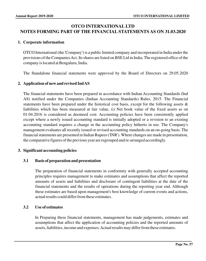## **OTCO INTERNATIONAL LTD NOTES FORMING PART OF THE FINANCIAL STATEMENTS AS ON 31.03.2020**

#### **1. Corporate information**

OTCO International (the 'Company') is a public limited company and incorporated in India under the provisions of the Companies Act. Its shares are listed on BSE Ltd in India. The registered office of the company is located at Bengaluru, India.

The Standalone financial statements were approved by the Board of Directors on 29.05.2020

#### **2. Application of new and revised Ind AS**

The financial statements have been prepared in accordance with Indian Accounting Standards (Ind AS) notified under the Companies (Indian Accounting Standards) Rules, 2015. The Financial statements have been prepared under the historical cost basis, except for the following assets  $\&$ liabilities which has been measured at fair value, (i) Net book value of the fixed assets as on 01.04.2016 is considered as deemeed cost. Accounting policies have been consistently applied except where a newly issued accounting standard is initially adopted or a revision to an existing accounting standard requires a change in the accounting policy hitherto in use. The Company's management evaluates all recently issued or revised accounting standards on an on-going basis. The financial statements are presented in Indian Rupees ('INR'). Where changes are made in presentation, the comparative figures of the previous year are regrouped and re-arranged accordingly.

#### **3. Significant accounting policies**

#### **3.1 Basis of preparation and presentation**

The preparation of financial statements in conformity with generally accepted accounting principles requires management to make estimates and assumptions that affect the reported amounts of assets and liabilities and disclosure of contingent liabilities at the date of the financial statements and the results of operations during the reporting year end. Although these estimates are based upon management's best knowledge of current events and actions, actual results could differ from these estimates.

#### **3.2 Use of estimates**

In Preparing these financial statements, management has made judgements, estimates and assumptions that affect the application of accounting policies and the reported amounts of assets, liabilities, income and expenses. Actual results may differ from these estimates.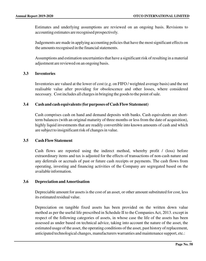Estimates and underlying assumptions are reviewed on an ongoing basis. Revisions to accounting estimates are recognised prospectively.

Judgements are made in applying accounting policies that have the most significant effects on the amounts recognised in the financial statements.

Assumptions and estimation uncertainties that have a significant risk of resulting in a material adjustment are reviewed on an ongoing basis.

#### **3.3 Inventories**

Inventories are valued at the lower of cost (e.g. on FIFO / weighted average basis) and the net realisable value after providing for obsolescence and other losses, where considered necessary. Cost includes all charges in bringing the goods to the point of sale.

#### **3.4 Cash and cash equivalents (for purposes of Cash Flow Statement)**

Cash comprises cash on hand and demand deposits with banks. Cash equivalents are shortterm balances (with an original maturity of three months or less from the date of acquisition), highly liquid investments that are readily convertible into known amounts of cash and which are subject to insignificant risk of changes in value.

## **3.5 Cash Flow Statement**

Cash flows are reported using the indirect method, whereby profit / (loss) before extraordinary items and tax is adjusted for the effects of transactions of non-cash nature and any deferrals or accruals of past or future cash receipts or payments. The cash flows from operating, investing and financing activities of the Company are segregated based on the available information.

#### **3.6 Depreciation and Amortisation**

Depreciable amount for assets is the cost of an asset, or other amount substituted for cost, less its estimated residual value.

Depreciation on tangible fixed assets has been provided on the written down value method as per the useful life prescribed in Schedule II to the Companies Act, 2013. except in respect of the following categories of assets, in whose case the life of the assets has been assessed as under based on technical advice, taking into account the nature of the asset, the estimated usage of the asset, the operating conditions of the asset, past history of replacement, anticipated technological changes, manufacturers warranties and maintenance support, etc.: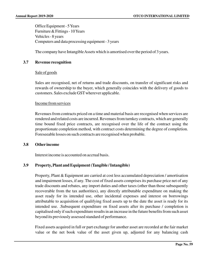Office Equipment - 5 Years Furniture & Fittings - 10 Years Vehicles - 8 years Computers and data processing equipment - 3 years

The company have Intangible Assets which is amortised over the period of 3 years.

#### **3.7 Revenue recognition**

#### Sale of goods

Sales are recognised, net of returns and trade discounts, on transfer of significant risks and rewards of ownership to the buyer, which generally coincides with the delivery of goods to customers. Sales exclude GST wherever applicable.

#### Income from services

Revenues from contracts priced on a time and material basis are recognised when services are rendered and related costs are incurred. Revenues from turnkey contracts, which are generally time bound fixed price contracts, are recognised over the life of the contract using the proportionate completion method, with contract costs determining the degree of completion. Foreseeable losses on such contracts are recognised when probable.

#### **3.8 Other income**

Interest income is accounted on accrual basis.

#### **3.9 Property, Plant and Equipment (Tangible / Intangible)**

Property, Plant & Equipment are carried at cost less accumulated depreciation / amortisation and impairment losses, if any. The cost of fixed assets comprises its purchase price net of any trade discounts and rebates, any import duties and other taxes (other than those subsequently recoverable from the tax authorities), any directly attributable expenditure on making the asset ready for its intended use, other incidental expenses and interest on borrowings attributable to acquisition of qualifying fixed assets up to the date the asset is ready for its intended use. .Subsequent expenditure on fixed assets after its purchase / completion is capitalised only if such expenditure results in an increase in the future benefits from such asset beyond its previously assessed standard of performance.

Fixed assets acquired in full or part exchange for another asset are recorded at the fair market value or the net book value of the asset given up, adjusted for any balancing cash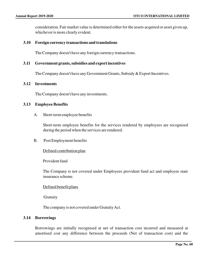consideration. Fair market value is determined either for the assets acquired or asset given up, whichever is more clearly evident.

#### **3.10 Foreign currency transactions and translations**

The Company doesn't have any foreign currency transactions.

#### **3.11 Government grants, subsidies and export incentives**

The Company doesn't have any Government Grants, Subsidy & Export Incentives.

#### **3.12 Investments**

The Company doesn't have any investments.

#### **3.13 Employee Benefits**

A. Short-term employee benefits

Short-term employee benefits for the services rendered by employees are recognised during the period when the services are rendered.

B. Post Employment benefits

Defined contribution plan

Provident fund

The Company is not covered under Employees provident fund act and employee state insurance scheme.

#### Defined benefit plans

Gratuity

The company is not covered under Gratuity Act.

#### **3.14 Borrowings**

Borrowings are initially recognised at net of transaction cost incurred and measured at amortised cost any difference between the proceeds (Net of transaction cost) and the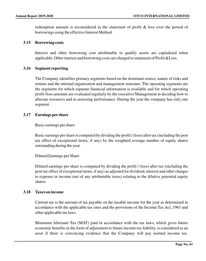redemption amount is reconsidered in the statement of profit & loss over the period of borrowings using the effective Interest Method.

#### **3.15 Borrowing costs**

Interest and other borrowing cost attributable to qualify assets are capitalised when applicable. Other interest and borrowing costs are charged to statement of Profit &Loss.

#### **3.16 Segment reporting**

The Company identifies primary segments based on the dominant source, nature of risks and returns and the internal organisation and management structure. The operating segments are the segments for which separate financial information is available and for which operating profit /loss amounts are evaluated regularly by the executive Management in deciding how to allocate resources and in assessing performance. During the year the company has only one segment.

#### **3.17 Earnings per share**

#### Basic earnings per share

Basic earnings per share is computed by dividing the profit / (loss) after tax (including the post tax effect of exceptional items, if any) by the weighted average number of equity shares outstanding during the year.

#### Diluted Earnings per Share

Diluted earnings per share is computed by dividing the profit / (loss) after tax (including the post tax effect of exceptional items, if any) as adjusted for dividend, interest and other charges to expense or income (net of any attributable taxes) relating to the dilutive potential equity shares.

#### **3.18 Taxes on income**

Current tax is the amount of tax payable on the taxable income for the year as determined in accordance with the applicable tax rates and the provisions of the Income Tax Act, 1961 and other applicable tax laws.

Minimum Alternate Tax (MAT) paid in accordance with the tax laws, which gives future economic benefits in the form of adjustment to future income tax liability, is considered as an asset if there is convincing evidence that the Company will pay normal income tax.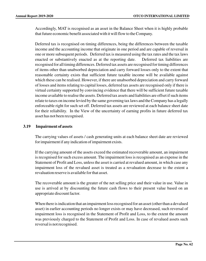Accordingly, MAT is recognised as an asset in the Balance Sheet when it is highly probable that future economic benefit associated with it will flow to the Company.

Deferred tax is recognised on timing differences, being the differences between the taxable income and the accounting income that originate in one period and are capable of reversal in one or more subsequent periods. Deferred tax is measured using the tax rates and the tax laws enacted or substantively enacted as at the reporting date. Deferred tax liabilities are recognised for all timing differences. Deferred tax assets are recognised for timing differences of items other than unabsorbed depreciation and carry forward losses only to the extent that reasonable certainty exists that sufficient future taxable income will be available against which these can be realised. However, if there are unabsorbed depreciation and carry forward of losses and items relating to capital losses, deferred tax assets are recognised only if there is virtual certainty supported by convincing evidence that there will be sufficient future taxable income available to realise the assets. Deferred tax assets and liabilities are offset if such items relate to taxes on income levied by the same governing tax laws and the Company has a legally enforceable right for such set off. Deferred tax assets are reviewed at each balance sheet date for their reliability. In the View of the uncertainty of earning profits in future deferred tax asset has not been recognised.

#### **3.19 Impairment of assets**

The carrying values of assets / cash generating units at each balance sheet date are reviewed for impairment if any indication of impairment exists.

If the carrying amount of the assets exceed the estimated recoverable amount, an impairment is recognised for such excess amount. The impairment loss is recognised as an expense in the Statement of Profit and Loss, unless the asset is carried at revalued amount, in which case any impairment loss of the revalued asset is treated as a revaluation decrease to the extent a revaluation reserve is available for that asset.

The recoverable amount is the greater of the net selling price and their value in use. Value in use is arrived at by discounting the future cash flows to their present value based on an appropriate discount factor.

When there is indication that an impairment loss recognised for an asset (other than a devalued asset) in earlier accounting periods no longer exists or may have decreased, such reversal of impairment loss is recognised in the Statement of Profit and Loss, to the extent the amount was previously charged to the Statement of Profit and Loss. In case of revalued assets such reversal is not recognised.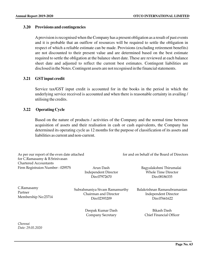#### **3.20 Provisions and contingencies**

A provision is recognised when the Company has a present obligation as a result of past events and it is probable that an outflow of resources will be required to settle the obligation in respect of which a reliable estimate can be made. Provisions (excluding retirement benefits) are not discounted to their present value and are determined based on the best estimate required to settle the obligation at the balance sheet date. These are reviewed at each balance sheet date and adjusted to reflect the current best estimates. Contingent liabilities are disclosed in the Notes. Contingent assets are not recognised in the financial statements.

#### **3.21 GST input credit**

Service tax/GST input credit is accounted for in the books in the period in which the underlying service received is accounted and when there is reasonable certainty in availing / utilising the credits.

#### **3.22 Operating Cycle**

Based on the nature of products / activities of the Company and the normal time between acquisition of assets and their realisation in cash or cash equivalents, the Company has determined its operating cycle as 12 months for the purpose of classification of its assets and liabilities as current and non-current.

As per our report of the even date attached for C.Ramasamy & B.Srinivasan Chartered Accountants Firm Registraion Number : 02957S

Arun Dash Independent Director Din:07972670

Bagyalakshmi Thirumalai Whole Time Director Din:08186335

for and on behalf of the Board of Directors

Subrahmaniya Sivam Ramamurthy Balakrishnan Ramasubramanian Independent Director Din:07661622

 Deepak Kumar Dash Company Secretary

Chairman and Director Din:02393209

> Bikash Dash Chief Financial Officer

*Chennai Date: 29.05.2020*

C.Ramasamy Partner

Membership No:23714